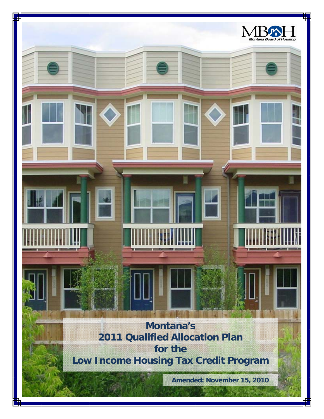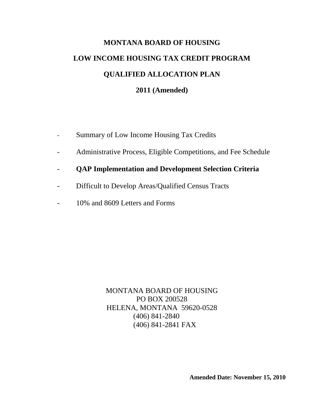# **MONTANA BOARD OF HOUSING LOW INCOME HOUSING TAX CREDIT PROGRAM QUALIFIED ALLOCATION PLAN 2011 (Amended)**

- Summary of Low Income Housing Tax Credits
- Administrative Process, Eligible Competitions, and Fee Schedule
- **QAP Implementation and Development Selection Criteria**
- Difficult to Develop Areas/Qualified Census Tracts
- 10% and 8609 Letters and Forms

MONTANA BOARD OF HOUSING PO BOX 200528 HELENA, MONTANA 59620-0528 (406) 841-2840 (406) 841-2841 FAX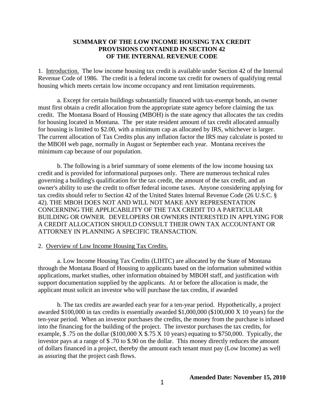### **SUMMARY OF THE LOW INCOME HOUSING TAX CREDIT PROVISIONS CONTAINED IN SECTION 42 OF THE INTERNAL REVENUE CODE**

1. Introduction. The low income housing tax credit is available under Section 42 of the Internal Revenue Code of 1986. The credit is a federal income tax credit for owners of qualifying rental housing which meets certain low income occupancy and rent limitation requirements.

a. Except for certain buildings substantially financed with tax-exempt bonds, an owner must first obtain a credit allocation from the appropriate state agency before claiming the tax credit. The Montana Board of Housing (MBOH) is the state agency that allocates the tax credits for housing located in Montana. The per state resident amount of tax credit allocated annually for housing is limited to \$2.00, with a minimum cap as allocated by IRS, whichever is larger. The current allocation of Tax Credits plus any inflation factor the IRS may calculate is posted to the MBOH web page, normally in August or September each year. Montana receives the minimum cap because of our population.

b. The following is a brief summary of some elements of the low income housing tax credit and is provided for informational purposes only. There are numerous technical rules governing a building's qualification for the tax credit, the amount of the tax credit, and an owner's ability to use the credit to offset federal income taxes. Anyone considering applying for tax credits should refer to Section 42 of the United States Internal Revenue Code (26 U.S.C. § 42). THE MBOH DOES NOT AND WILL NOT MAKE ANY REPRESENTATION CONCERNING THE APPLICABILITY OF THE TAX CREDIT TO A PARTICULAR BUILDING OR OWNER. DEVELOPERS OR OWNERS INTERESTED IN APPLYING FOR A CREDIT ALLOCATION SHOULD CONSULT THEIR OWN TAX ACCOUNTANT OR ATTORNEY IN PLANNING A SPECIFIC TRANSACTION.

#### 2. Overview of Low Income Housing Tax Credits.

a. Low Income Housing Tax Credits (LIHTC) are allocated by the State of Montana through the Montana Board of Housing to applicants based on the information submitted within applications, market studies, other information obtained by MBOH staff, and justification with support documentation supplied by the applicants. At or before the allocation is made, the applicant must solicit an investor who will purchase the tax credits, if awarded

b. The tax credits are awarded each year for a ten-year period. Hypothetically, a project awarded \$100,000 in tax credits is essentially awarded \$1,000,000 (\$100,000 X 10 years) for the ten-year period. When an investor purchases the credits, the money from the purchase is infused into the financing for the building of the project. The investor purchases the tax credits, for example,  $$.75$  on the dollar (\$100,000 X  $$.75$  X 10 years) equating to \$750,000. Typically, the investor pays at a range of \$ .70 to \$.90 on the dollar. This money directly reduces the amount of dollars financed in a project, thereby the amount each tenant must pay (Low Income) as well as assuring that the project cash flows.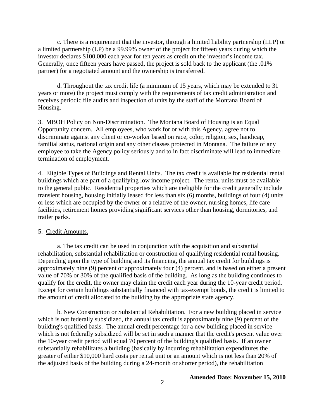c. There is a requirement that the investor, through a limited liability partnership (LLP) or a limited partnership (LP) be a 99.99% owner of the project for fifteen years during which the investor declares \$100,000 each year for ten years as credit on the investor's income tax. Generally, once fifteen years have passed, the project is sold back to the applicant (the .01% partner) for a negotiated amount and the ownership is transferred.

 d. Throughout the tax credit life (a minimum of 15 years, which may be extended to 31 years or more) the project must comply with the requirements of tax credit administration and receives periodic file audits and inspection of units by the staff of the Montana Board of Housing.

3. MBOH Policy on Non-Discrimination. The Montana Board of Housing is an Equal Opportunity concern. All employees, who work for or with this Agency, agree not to discriminate against any client or co-worker based on race, color, religion, sex, handicap, familial status, national origin and any other classes protected in Montana. The failure of any employee to take the Agency policy seriously and to in fact discriminate will lead to immediate termination of employment.

4. Eligible Types of Buildings and Rental Units.The tax credit is available for residential rental buildings which are part of a qualifying low income project. The rental units must be available to the general public. Residential properties which are ineligible for the credit generally include transient housing, housing initially leased for less than six (6) months, buildings of four (4) units or less which are occupied by the owner or a relative of the owner, nursing homes, life care facilities, retirement homes providing significant services other than housing, dormitories, and trailer parks.

#### 5. Credit Amounts.

a. The tax credit can be used in conjunction with the acquisition and substantial rehabilitation, substantial rehabilitation or construction of qualifying residential rental housing. Depending upon the type of building and its financing, the annual tax credit for buildings is approximately nine (9) percent or approximately four (4) percent, and is based on either a present value of 70% or 30% of the qualified basis of the building. As long as the building continues to qualify for the credit, the owner may claim the credit each year during the 10-year credit period. Except for certain buildings substantially financed with tax-exempt bonds, the credit is limited to the amount of credit allocated to the building by the appropriate state agency.

b. New Construction or Substantial Rehabilitation. For a new building placed in service which is not federally subsidized, the annual tax credit is approximately nine (9) percent of the building's qualified basis. The annual credit percentage for a new building placed in service which is not federally subsidized will be set in such a manner that the credit's present value over the 10-year credit period will equal 70 percent of the building's qualified basis. If an owner substantially rehabilitates a building (basically by incurring rehabilitation expenditures the greater of either \$10,000 hard costs per rental unit or an amount which is not less than 20% of the adjusted basis of the building during a 24-month or shorter period), the rehabilitation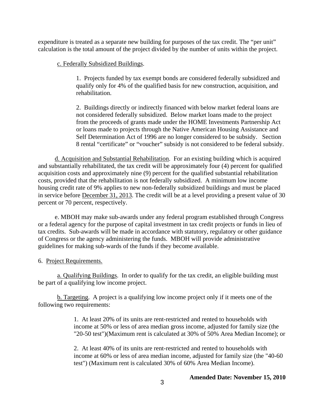expenditure is treated as a separate new building for purposes of the tax credit. The "per unit" calculation is the total amount of the project divided by the number of units within the project.

### c. Federally Subsidized Buildings.

1. Projects funded by tax exempt bonds are considered federally subsidized and qualify only for 4% of the qualified basis for new construction, acquisition, and rehabilitation.

2. Buildings directly or indirectly financed with below market federal loans are not considered federally subsidized. Below market loans made to the project from the proceeds of grants made under the HOME Investments Partnership Act or loans made to projects through the Native American Housing Assistance and Self Determination Act of 1996 are no longer considered to be subsidy. Section 8 rental "certificate" or "voucher" subsidy is not considered to be federal subsidy.

d. Acquisition and Substantial Rehabilitation. For an existing building which is acquired and substantially rehabilitated, the tax credit will be approximately four (4) percent for qualified acquisition costs and approximately nine (9) percent for the qualified substantial rehabilitation costs, provided that the rehabilitation is not federally subsidized. A minimum low income housing credit rate of 9% applies to new non-federally subsidized buildings and must be placed in service before December 31, 2013. The credit will be at a level providing a present value of 30 percent or 70 percent, respectively.

e. MBOH may make sub-awards under any federal program established through Congress or a federal agency for the purpose of capital investment in tax credit projects or funds in lieu of tax credits. Sub-awards will be made in accordance with statutory, regulatory or other guidance of Congress or the agency administering the funds. MBOH will provide administrative guidelines for making sub-wards of the funds if they become available.

6. Project Requirements.

a. Qualifying Buildings. In order to qualify for the tax credit, an eligible building must be part of a qualifying low income project.

b. Targeting. A project is a qualifying low income project only if it meets one of the following two requirements:

> 1. At least 20% of its units are rent-restricted and rented to households with income at 50% or less of area median gross income, adjusted for family size (the "20-50 test")(Maximum rent is calculated at 30% of 50% Area Median Income); or

> 2. At least 40% of its units are rent-restricted and rented to households with income at 60% or less of area median income, adjusted for family size (the "40-60 test") (Maximum rent is calculated 30% of 60% Area Median Income).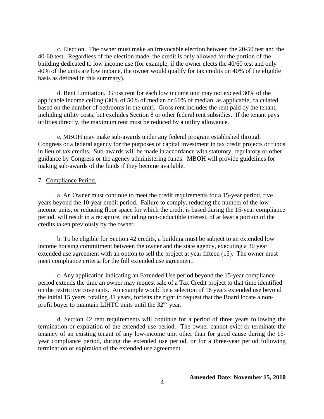c. Election. The owner must make an irrevocable election between the 20-50 test and the 40-60 test. Regardless of the election made, the credit is only allowed for the portion of the building dedicated to low income use (for example, if the owner elects the 40/60 test and only 40% of the units are low income, the owner would qualify for tax credits on 40% of the eligible basis as defined in this summary).

d. Rent Limitation. Gross rent for each low income unit may not exceed 30% of the applicable income ceiling (30% of 50% of median or 60% of median, as applicable, calculated based on the number of bedrooms in the unit). Gross rent includes the rent paid by the tenant, including utility costs, but excludes Section 8 or other federal rent subsidies. If the tenant pays utilities directly, the maximum rent must be reduced by a utility allowance.

e. MBOH may make sub-awards under any federal program established through Congress or a federal agency for the purposes of capital investment in tax credit projects or funds in lieu of tax credits. Sub-awards will be made in accordance with statutory, regulatory or other guidance by Congress or the agency administering funds. MBOH will provide guidelines for making sub-awards of the funds if they become available.

#### 7. Compliance Period.

a. An Owner must continue to meet the credit requirements for a 15-year period, five years beyond the 10-year credit period. Failure to comply, reducing the number of the low income units, or reducing floor space for which the credit is based during the 15-year compliance period, will result in a recapture, including non-deductible interest, of at least a portion of the credits taken previously by the owner.

b. To be eligible for Section 42 credits, a building must be subject to an extended low income housing commitment between the owner and the state agency, executing a 30 year extended use agreement with an option to sell the project at year fifteen (15). The owner must meet compliance criteria for the full extended use agreement.

c. Any application indicating an Extended Use period beyond the 15-year compliance period extends the time an owner may request sale of a Tax Credit project to that time identified on the restrictive covenants. An example would be a selection of 16 years extended use beyond the initial 15 years, totaling 31 years, forfeits the right to request that the Board locate a nonprofit buyer to maintain LIHTC units until the 32<sup>nd</sup> year.

d. Section 42 rent requirements will continue for a period of three years following the termination or expiration of the extended use period. The owner cannot evict or terminate the tenancy of an existing tenant of any low-income unit other than for good cause during the 15 year compliance period, during the extended use period, or for a three-year period following termination or expiration of the extended use agreement.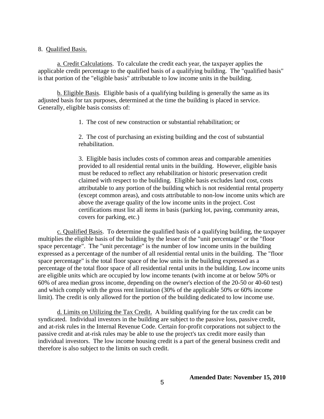8. Qualified Basis.

a. Credit Calculations. To calculate the credit each year, the taxpayer applies the applicable credit percentage to the qualified basis of a qualifying building. The "qualified basis" is that portion of the "eligible basis" attributable to low income units in the building.

b. Eligible Basis. Eligible basis of a qualifying building is generally the same as its adjusted basis for tax purposes, determined at the time the building is placed in service. Generally, eligible basis consists of:

1. The cost of new construction or substantial rehabilitation; or

2. The cost of purchasing an existing building and the cost of substantial rehabilitation.

3. Eligible basis includes costs of common areas and comparable amenities provided to all residential rental units in the building. However, eligible basis must be reduced to reflect any rehabilitation or historic preservation credit claimed with respect to the building. Eligible basis excludes land cost, costs attributable to any portion of the building which is not residential rental property (except common areas), and costs attributable to non-low income units which are above the average quality of the low income units in the project. Cost certifications must list all items in basis (parking lot, paving, community areas, covers for parking, etc.)

c. Qualified Basis. To determine the qualified basis of a qualifying building, the taxpayer multiplies the eligible basis of the building by the lesser of the "unit percentage" or the "floor space percentage". The "unit percentage" is the number of low income units in the building expressed as a percentage of the number of all residential rental units in the building. The "floor space percentage" is the total floor space of the low units in the building expressed as a percentage of the total floor space of all residential rental units in the building. Low income units are eligible units which are occupied by low income tenants (with income at or below 50% or 60% of area median gross income, depending on the owner's election of the 20-50 or 40-60 test) and which comply with the gross rent limitation (30% of the applicable 50% or 60% income limit). The credit is only allowed for the portion of the building dedicated to low income use.

d. Limits on Utilizing the Tax Credit. A building qualifying for the tax credit can be syndicated. Individual investors in the building are subject to the passive loss, passive credit, and at-risk rules in the Internal Revenue Code. Certain for-profit corporations not subject to the passive credit and at-risk rules may be able to use the project's tax credit more easily than individual investors. The low income housing credit is a part of the general business credit and therefore is also subject to the limits on such credit.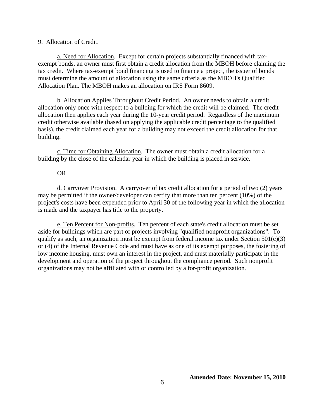### 9. Allocation of Credit.

a. Need for Allocation. Except for certain projects substantially financed with taxexempt bonds, an owner must first obtain a credit allocation from the MBOH before claiming the tax credit. Where tax-exempt bond financing is used to finance a project, the issuer of bonds must determine the amount of allocation using the same criteria as the MBOH's Qualified Allocation Plan. The MBOH makes an allocation on IRS Form 8609.

b. Allocation Applies Throughout Credit Period. An owner needs to obtain a credit allocation only once with respect to a building for which the credit will be claimed. The credit allocation then applies each year during the 10-year credit period. Regardless of the maximum credit otherwise available (based on applying the applicable credit percentage to the qualified basis), the credit claimed each year for a building may not exceed the credit allocation for that building.

c. Time for Obtaining Allocation. The owner must obtain a credit allocation for a building by the close of the calendar year in which the building is placed in service.

### OR

d. Carryover Provision. A carryover of tax credit allocation for a period of two (2) years may be permitted if the owner/developer can certify that more than ten percent (10%) of the project's costs have been expended prior to April 30 of the following year in which the allocation is made and the taxpayer has title to the property.

e. Ten Percent for Non-profits. Ten percent of each state's credit allocation must be set aside for buildings which are part of projects involving "qualified nonprofit organizations". To qualify as such, an organization must be exempt from federal income tax under Section  $501(c)(3)$ or (4) of the Internal Revenue Code and must have as one of its exempt purposes, the fostering of low income housing, must own an interest in the project, and must materially participate in the development and operation of the project throughout the compliance period. Such nonprofit organizations may not be affiliated with or controlled by a for-profit organization.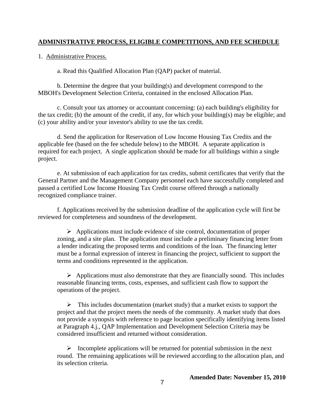### **ADMINISTRATIVE PROCESS, ELIGIBLE COMPETITIONS, AND FEE SCHEDULE**

1. Administrative Process.

a. Read this Qualified Allocation Plan (QAP) packet of material.

b. Determine the degree that your building(s) and development correspond to the MBOH's Development Selection Criteria, contained in the enclosed Allocation Plan.

c. Consult your tax attorney or accountant concerning: (a) each building's eligibility for the tax credit; (b) the amount of the credit, if any, for which your building(s) may be eligible; and (c) your ability and/or your investor's ability to use the tax credit.

d. Send the application for Reservation of Low Income Housing Tax Credits and the applicable fee (based on the fee schedule below) to the MBOH. A separate application is required for each project. A single application should be made for all buildings within a single project.

e. At submission of each application for tax credits, submit certificates that verify that the General Partner and the Management Company personnel each have successfully completed and passed a certified Low Income Housing Tax Credit course offered through a nationally recognized compliance trainer.

f. Applications received by the submission deadline of the application cycle will first be reviewed for completeness and soundness of the development.

 $\triangleright$  Applications must include evidence of site control, documentation of proper zoning, and a site plan. The application must include a preliminary financing letter from a lender indicating the proposed terms and conditions of the loan. The financing letter must be a formal expression of interest in financing the project, sufficient to support the terms and conditions represented in the application.

 $\triangleright$  Applications must also demonstrate that they are financially sound. This includes reasonable financing terms, costs, expenses, and sufficient cash flow to support the operations of the project.

 $\triangleright$  This includes documentation (market study) that a market exists to support the project and that the project meets the needs of the community. A market study that does not provide a synopsis with reference to page location specifically identifying items listed at Paragraph 4.j., QAP Implementation and Development Selection Criteria may be considered insufficient and returned without consideration.

 $\triangleright$  Incomplete applications will be returned for potential submission in the next round. The remaining applications will be reviewed according to the allocation plan, and its selection criteria.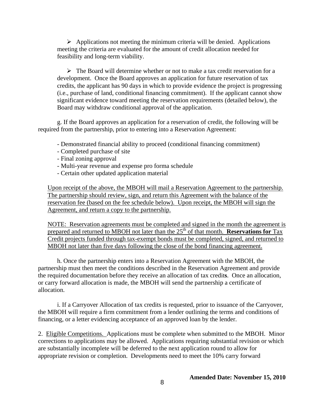$\triangleright$  Applications not meeting the minimum criteria will be denied. Applications meeting the criteria are evaluated for the amount of credit allocation needed for feasibility and long-term viability.

 $\triangleright$  The Board will determine whether or not to make a tax credit reservation for a development. Once the Board approves an application for future reservation of tax credits, the applicant has 90 days in which to provide evidence the project is progressing (i.e., purchase of land, conditional financing commitment). If the applicant cannot show significant evidence toward meeting the reservation requirements (detailed below), the Board may withdraw conditional approval of the application.

g. If the Board approves an application for a reservation of credit, the following will be required from the partnership, prior to entering into a Reservation Agreement:

- Demonstrated financial ability to proceed (conditional financing commitment)
- Completed purchase of site
- Final zoning approval
- Multi-year revenue and expense pro forma schedule
- Certain other updated application material

Upon receipt of the above, the MBOH will mail a Reservation Agreement to the partnership. The partnership should review, sign, and return this Agreement with the balance of the reservation fee (based on the fee schedule below). Upon receipt, the MBOH will sign the Agreement, and return a copy to the partnership.

NOTE: Reservation agreements must be completed and signed in the month the agreement is prepared and returned to MBOH not later than the 25<sup>th</sup> of that month. **Reservations for** Tax Credit projects funded through tax-exempt bonds must be completed, signed, and returned to MBOH not later than five days following the close of the bond financing agreement.

h. Once the partnership enters into a Reservation Agreement with the MBOH, the partnership must then meet the conditions described in the Reservation Agreement and provide the required documentation before they receive an allocation of tax credit**s**. Once an allocation, or carry forward allocation is made, the MBOH will send the partnership a certificate of allocation.

i. If a Carryover Allocation of tax credits is requested, prior to issuance of the Carryover, the MBOH will require a firm commitment from a lender outlining the terms and conditions of financing, or a letter evidencing acceptance of an approved loan by the lender.

2. Eligible Competitions.Applications must be complete when submitted to the MBOH. Minor corrections to applications may be allowed. Applications requiring substantial revision or which are substantially incomplete will be deferred to the next application round to allow for appropriate revision or completion. Developments need to meet the 10% carry forward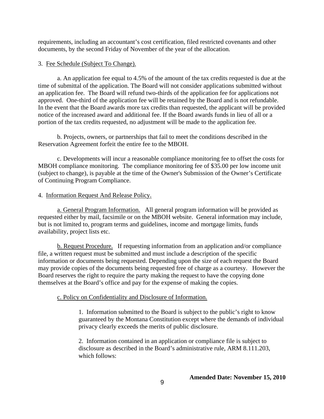requirements, including an accountant's cost certification, filed restricted covenants and other documents, by the second Friday of November of the year of the allocation.

### 3. Fee Schedule (Subject To Change).

a. An application fee equal to 4.5% of the amount of the tax credits requested is due at the time of submittal of the application. The Board will not consider applications submitted without an application fee. The Board will refund two-thirds of the application fee for applications not approved. One-third of the application fee will be retained by the Board and is not refundable. In the event that the Board awards more tax credits than requested, the applicant will be provided notice of the increased award and additional fee. If the Board awards funds in lieu of all or a portion of the tax credits requested, no adjustment will be made to the application fee.

b. Projects, owners, or partnerships that fail to meet the conditions described in the Reservation Agreement forfeit the entire fee to the MBOH.

c. Developments will incur a reasonable compliance monitoring fee to offset the costs for MBOH compliance monitoring. The compliance monitoring fee of \$35.00 per low income unit (subject to change), is payable at the time of the Owner's Submission of the Owner's Certificate of Continuing Program Compliance.

### 4. Information Request And Release Policy.

a. General Program Information. All general program information will be provided as requested either by mail, facsimile or on the MBOH website. General information may include, but is not limited to, program terms and guidelines, income and mortgage limits, funds availability, project lists etc.

b. Request Procedure.If requesting information from an application and/or compliance file, a written request must be submitted and must include a description of the specific information or documents being requested. Depending upon the size of each request the Board may provide copies of the documents being requested free of charge as a courtesy. However the Board reserves the right to require the party making the request to have the copying done themselves at the Board's office and pay for the expense of making the copies.

### c. Policy on Confidentiality and Disclosure of Information.

1. Information submitted to the Board is subject to the public's right to know guaranteed by the Montana Constitution except where the demands of individual privacy clearly exceeds the merits of public disclosure.

2. Information contained in an application or compliance file is subject to disclosure as described in the Board's administrative rule, ARM 8.111.203, which follows: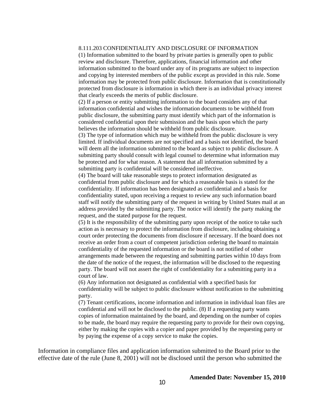#### 8.111.203 CONFIDENTIALITY AND DISCLOSURE OF INFORMATION

(1) Information submitted to the board by private parties is generally open to public review and disclosure. Therefore, applications, financial information and other information submitted to the board under any of its programs are subject to inspection and copying by interested members of the public except as provided in this rule. Some information may be protected from public disclosure. Information that is constitutionally protected from disclosure is information in which there is an individual privacy interest that clearly exceeds the merits of public disclosure.

(2) If a person or entity submitting information to the board considers any of that information confidential and wishes the information documents to be withheld from public disclosure, the submitting party must identify which part of the information is considered confidential upon their submission and the basis upon which the party believes the information should be withheld from public disclosure.

(3) The type of information which may be withheld from the public disclosure is very limited. If individual documents are not specified and a basis not identified, the board will deem all the information submitted to the board as subject to public disclosure. A submitting party should consult with legal counsel to determine what information may be protected and for what reason. A statement that all information submitted by a submitting party is confidential will be considered ineffective.

(4) The board will take reasonable steps to protect information designated as confidential from public disclosure and for which a reasonable basis is stated for the confidentiality. If information has been designated as confidential and a basis for confidentiality stated, upon receiving a request to review any such information board staff will notify the submitting party of the request in writing by United States mail at an address provided by the submitting party. The notice will identify the party making the request, and the stated purpose for the request.

(5) It is the responsibility of the submitting party upon receipt of the notice to take such action as is necessary to protect the information from disclosure, including obtaining a court order protecting the documents from disclosure if necessary. If the board does not receive an order from a court of competent jurisdiction ordering the board to maintain confidentiality of the requested information or the board is not notified of other arrangements made between the requesting and submitting parties within 10 days from the date of the notice of the request, the information will be disclosed to the requesting party. The board will not assert the right of confidentiality for a submitting party in a court of law.

(6) Any information not designated as confidential with a specified basis for confidentiality will be subject to public disclosure without notification to the submitting party.

(7) Tenant certifications, income information and information in individual loan files are confidential and will not be disclosed to the public. (8) If a requesting party wants copies of information maintained by the board, and depending on the number of copies to be made, the board may require the requesting party to provide for their own copying, either by making the copies with a copier and paper provided by the requesting party or by paying the expense of a copy service to make the copies.

Information in compliance files and application information submitted to the Board prior to the effective date of the rule (June 8, 2001) will not be disclosed until the person who submitted the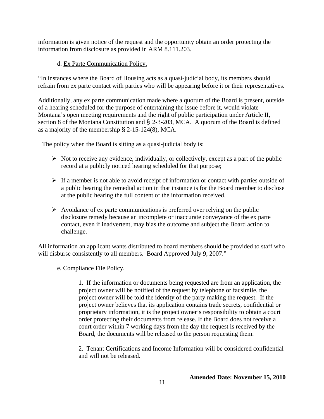information is given notice of the request and the opportunity obtain an order protecting the information from disclosure as provided in ARM 8.111.203.

## d. Ex Parte Communication Policy.

"In instances where the Board of Housing acts as a quasi-judicial body, its members should refrain from ex parte contact with parties who will be appearing before it or their representatives.

Additionally, any ex parte communication made where a quorum of the Board is present, outside of a hearing scheduled for the purpose of entertaining the issue before it, would violate Montana's open meeting requirements and the right of public participation under Article II, section 8 of the Montana Constitution and § 2-3-203, MCA. A quorum of the Board is defined as a majority of the membership § 2-15-124(8), MCA.

The policy when the Board is sitting as a quasi-judicial body is:

- $\triangleright$  Not to receive any evidence, individually, or collectively, except as a part of the public record at a publicly noticed hearing scheduled for that purpose;
- $\triangleright$  If a member is not able to avoid receipt of information or contact with parties outside of a public hearing the remedial action in that instance is for the Board member to disclose at the public hearing the full content of the information received.
- $\triangleright$  Avoidance of ex parte communications is preferred over relying on the public disclosure remedy because an incomplete or inaccurate conveyance of the ex parte contact, even if inadvertent, may bias the outcome and subject the Board action to challenge.

All information an applicant wants distributed to board members should be provided to staff who will disburse consistently to all members. Board Approved July 9, 2007."

### e. Compliance File Policy.

1. If the information or documents being requested are from an application, the project owner will be notified of the request by telephone or facsimile, the project owner will be told the identity of the party making the request. If the project owner believes that its application contains trade secrets, confidential or proprietary information, it is the project owner's responsibility to obtain a court order protecting their documents from release. If the Board does not receive a court order within 7 working days from the day the request is received by the Board, the documents will be released to the person requesting them.

2. Tenant Certifications and Income Information will be considered confidential and will not be released.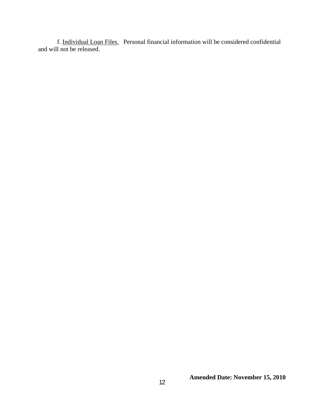f. Individual Loan Files. Personal financial information will be considered confidential and will not be released.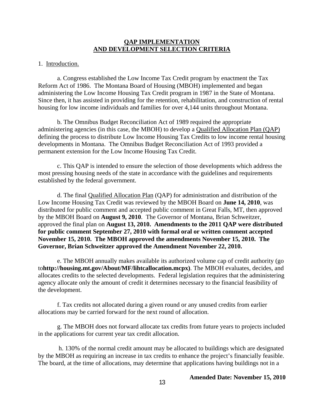#### **QAP IMPLEMENTATION AND DEVELOPMENT SELECTION CRITERIA**

#### 1. Introduction.

a. Congress established the Low Income Tax Credit program by enactment the Tax Reform Act of 1986. The Montana Board of Housing (MBOH) implemented and began administering the Low Income Housing Tax Credit program in 1987 in the State of Montana. Since then, it has assisted in providing for the retention, rehabilitation, and construction of rental housing for low income individuals and families for over 4,144 units throughout Montana.

b. The Omnibus Budget Reconciliation Act of 1989 required the appropriate administering agencies (in this case, the MBOH) to develop a Qualified Allocation Plan (QAP) defining the process to distribute Low Income Housing Tax Credits to low income rental housing developments in Montana. The Omnibus Budget Reconciliation Act of 1993 provided a permanent extension for the Low Income Housing Tax Credit.

c. This QAP is intended to ensure the selection of those developments which address the most pressing housing needs of the state in accordance with the guidelines and requirements established by the federal government.

d. The final Qualified Allocation Plan (QAP) for administration and distribution of the Low Income Housing Tax Credit was reviewed by the MBOH Board on **June 14, 2010**, was distributed for public comment and accepted public comment in Great Falls, MT, then approved by the MBOH Board on **August 9, 2010**. The Governor of Montana, Brian Schweitzer, approved the final plan on **August 13, 2010. Amendments to the 2011 QAP were distributed for public comment September 27, 2010 with formal oral or written comment accepted November 15, 2010. The MBOH approved the amendments November 15, 2010. The Governor, Brian Schweitzer approved the Amendment November 22, 2010.**

e. The MBOH annually makes available its authorized volume cap of credit authority (go to**http://housing.mt.gov/About/MF/lihtcallocation.mcpx)**. The MBOH evaluates, decides, and allocates credits to the selected developments. Federal legislation requires that the administering agency allocate only the amount of credit it determines necessary to the financial feasibility of the development.

f. Tax credits not allocated during a given round or any unused credits from earlier allocations may be carried forward for the next round of allocation.

g. The MBOH does not forward allocate tax credits from future years to projects included in the applications for current year tax credit allocation.

 h. 130% of the normal credit amount may be allocated to buildings which are designated by the MBOH as requiring an increase in tax credits to enhance the project's financially feasible. The board, at the time of allocations, may determine that applications having buildings not in a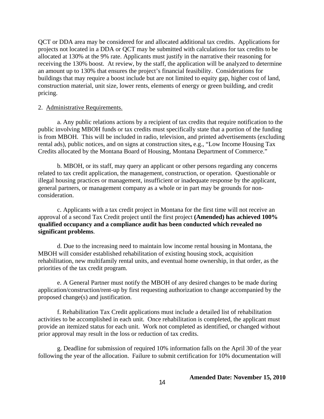QCT or DDA area may be considered for and allocated additional tax credits. Applications for projects not located in a DDA or QCT may be submitted with calculations for tax credits to be allocated at 130% at the 9% rate. Applicants must justify in the narrative their reasoning for receiving the 130% boost. At review, by the staff, the application will be analyzed to determine an amount up to 130% that ensures the project's financial feasibility. Considerations for buildings that may require a boost include but are not limited to equity gap, higher cost of land, construction material, unit size, lower rents, elements of energy or green building, and credit pricing.

#### 2. Administrative Requirements.

a. Any public relations actions by a recipient of tax credits that require notification to the public involving MBOH funds or tax credits must specifically state that a portion of the funding is from MBOH. This will be included in radio, television, and printed advertisements (excluding rental ads), public notices, and on signs at construction sites**,** e.g., "Low Income Housing Tax Credits allocated by the Montana Board of Housing, Montana Department of Commerce."

b. MBOH, or its staff, may query an applicant or other persons regarding any concerns related to tax credit application, the management, construction, or operation. Questionable or illegal housing practices or management, insufficient or inadequate response by the applicant, general partners, or management company as a whole or in part may be grounds for nonconsideration.

c. Applicants with a tax credit project in Montana for the first time will not receive an approval of a second Tax Credit project until the first project **(Amended) has achieved 100% qualified occupancy and a compliance audit has been conducted which revealed no significant problems**.

d. Due to the increasing need to maintain low income rental housing in Montana, the MBOH will consider established rehabilitation of existing housing stock, acquisition rehabilitation, new multifamily rental units, and eventual home ownership, in that order, as the priorities of the tax credit program.

e. A General Partner must notify the MBOH of any desired changes to be made during application/construction/rent-up by first requesting authorization to change accompanied by the proposed change(s) and justification.

f. Rehabilitation Tax Credit applications must include a detailed list of rehabilitation activities to be accomplished in each unit. Once rehabilitation is completed, the applicant must provide an itemized status for each unit. Work not completed as identified, or changed without prior approval may result in the loss or reduction of tax credits.

g. Deadline for submission of required 10% information falls on the April 30 of the year following the year of the allocation. Failure to submit certification for 10% documentation will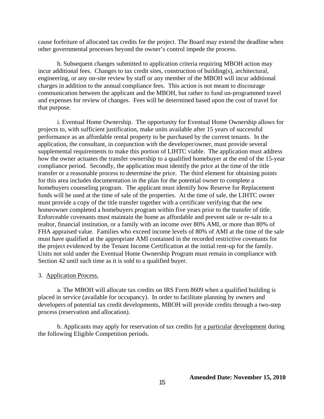cause forfeiture of allocated tax credits for the project. The Board may extend the deadline when other governmental processes beyond the owner's control impede the process.

h. Subsequent changes submitted to application criteria requiring MBOH action may incur additional fees. Changes to tax credit sites, construction of building(s), architectural, engineering, or any on-site review by staff or any member of the MBOH will incur additional charges in addition to the annual compliance fees. This action is not meant to discourage communication between the applicant and the MBOH, but rather to fund un-programmed travel and expenses for review of changes. Fees will be determined based upon the cost of travel for that purpose.

i. Eventual Home Ownership. The opportunity for Eventual Home Ownership allows for projects to, with sufficient justification, make units available after 15 years of successful performance as an affordable rental property to be purchased by the current tenants. In the application, the consultant, in conjunction with the developer/owner, must provide several supplemental requirements to make this portion of LIHTC viable. The application must address how the owner actuates the transfer ownership to a qualified homebuyer at the end of the 15-year compliance period. Secondly, the application must identify the price at the time of the title transfer or a reasonable process to determine the price. The third element for obtaining points for this area includes documentation in the plan for the potential owner to complete a homebuyers counseling program. The applicant must identify how Reserve for Replacement funds will be used at the time of sale of the properties. At the time of sale, the LIHTC owner must provide a copy of the title transfer together with a certificate verifying that the new homeowner completed a homebuyers program within five years prior to the transfer of title. Enforceable covenants must maintain the home as affordable and prevent sale or re-sale to a realtor, financial institution, or a family with an income over 80% AMI, or more than 80% of FHA appraised value. Families who exceed income levels of 80% of AMI at the time of the sale must have qualified at the appropriate AMI contained in the recorded restrictive covenants for the project evidenced by the Tenant Income Certification at the initial rent-up for the family. Units not sold under the Eventual Home Ownership Program must remain in compliance with Section 42 until such time as it is sold to a qualified buyer.

#### 3. Application Process.

a. The MBOH will allocate tax credits on IRS Form 8609 when a qualified building is placed in service (available for occupancy). In order to facilitate planning by owners and developers of potential tax credit developments, MBOH will provide credits through a two-step process (reservation and allocation).

b. Applicants may apply for reservation of tax credits for a particular development during the following Eligible Competition periods.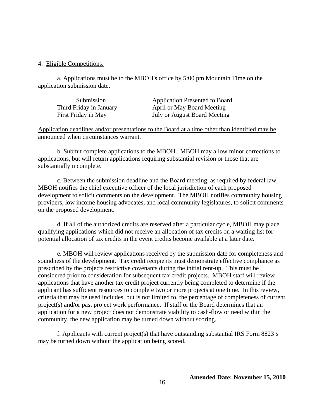#### 4. Eligible Competitions.

a. Applications must be to the MBOH's office by 5:00 pm Mountain Time on the application submission date.

| Submission              | <b>Application Presented to Board</b> |
|-------------------------|---------------------------------------|
| Third Friday in January | April or May Board Meeting            |
| First Friday in May     | July or August Board Meeting          |

Application deadlines and/or presentations to the Board at a time other than identified may be announced when circumstances warrant.

b. Submit complete applications to the MBOH. MBOH may allow minor corrections to applications, but will return applications requiring substantial revision or those that are substantially incomplete.

c. Between the submission deadline and the Board meeting, as required by federal law, MBOH notifies the chief executive officer of the local jurisdiction of each proposed development to solicit comments on the development. The MBOH notifies community housing providers, low income housing advocates, and local community legislatures, to solicit comments on the proposed development.

d. If all of the authorized credits are reserved after a particular cycle, MBOH may place qualifying applications which did not receive an allocation of tax credits on a waiting list for potential allocation of tax credits in the event credits become available at a later date.

e. MBOH will review applications received by the submission date for completeness and soundness of the development. Tax credit recipients must demonstrate effective compliance as prescribed by the projects restrictive covenants during the initial rent-up. This must be considered prior to consideration for subsequent tax credit projects. MBOH staff will review applications that have another tax credit project currently being completed to determine if the applicant has sufficient resources to complete two or more projects at one time. In this review, criteria that may be used includes, but is not limited to, the percentage of completeness of current project(s) and/or past project work performance. If staff or the Board determines that an application for a new project does not demonstrate viability to cash-flow or need within the community, the new application may be turned down without scoring.

f. Applicants with current project(s) that have outstanding substantial IRS Form 8823's may be turned down without the application being scored.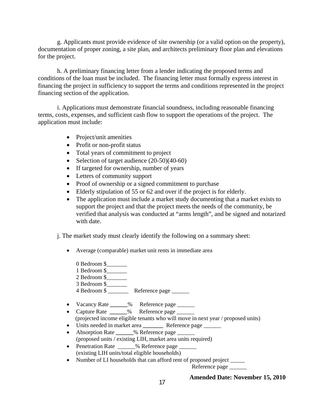g. Applicants must provide evidence of site ownership (or a valid option on the property), documentation of proper zoning, a site plan, and architects preliminary floor plan and elevations for the project.

h. A preliminary financing letter from a lender indicating the proposed terms and conditions of the loan must be included. The financing letter must formally express interest in financing the project in sufficiency to support the terms and conditions represented in the project financing section of the application.

i. Applications must demonstrate financial soundness, including reasonable financing terms, costs, expenses, and sufficient cash flow to support the operations of the project. The application must include:

- Project/unit amenities
- Profit or non-profit status
- Total years of commitment to project
- Selection of target audience  $(20-50)(40-60)$
- If targeted for ownership, number of years
- Letters of community support
- Proof of ownership or a signed commitment to purchase
- Elderly stipulation of 55 or 62 and over if the project is for elderly.
- The application must include a market study documenting that a market exists to support the project and that the project meets the needs of the community, be verified that analysis was conducted at "arms length", and be signed and notarized with date.

### j. The market study must clearly identify the following on a summary sheet:

- Average (comparable) market unit rents in immediate area
	- 0 Bedroom \$ 1 Bedroom \$\_\_\_\_\_\_\_ 2 Bedroom \$ 3 Bedroom \$\_\_\_\_\_\_\_  $\frac{4}{4}$  Bedroom \$
- Vacancy Rate **\_\_\_\_\_\_**% Reference page \_\_\_\_\_\_
- Capture Rate **\_\_\_\_\_\_**% Reference page \_\_\_\_\_\_
- (projected income eligible tenants who will move in next year / proposed units)
- Units needed in market area **\_\_\_\_\_\_\_** Reference page \_\_\_\_\_\_
- Absorption Rate **\_\_\_\_\_\_**% Reference page \_\_\_\_\_\_ (proposed units / existing LIH, market area units required)
- Penetration Rate  $\frac{9}{6}$  Reference page (existing LIH units/total eligible households)
- Number of LI households that can afford rent of proposed project

Reference page \_\_\_\_\_\_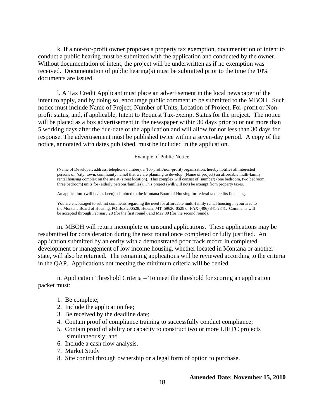k. If a not-for-profit owner proposes a property tax exemption, documentation of intent to conduct a public hearing must be submitted with the application and conducted by the owner. Without documentation of intent, the project will be underwritten as if no exemption was received. Documentation of public hearing(s) must be submitted prior to the time the  $10\%$ documents are issued.

l. A Tax Credit Applicant must place an advertisement in the local newspaper of the intent to apply, and by doing so, encourage public comment to be submitted to the MBOH. Such notice must include Name of Project, Number of Units, Location of Project, For-profit or Nonprofit status, and, if applicable, Intent to Request Tax-exempt Status for the project. The notice will be placed as a box advertisement in the newspaper within 30 days prior to or not more than 5 working days after the due-date of the application and will allow for not less than 30 days for response. The advertisement must be published twice within a seven-day period. A copy of the notice, annotated with dates published, must be included in the application.

#### Example of Public Notice

(Name of Developer, address, telephone number), a (for-profit/non-profit) organization, hereby notifies all interested persons of (city, town, community name) that we are planning to develop, (Name of project) an affordable multi-family rental housing complex on the site at (street location). This complex will consist of (number) (one bedroom, two bedroom, three bedroom) units for (elderly persons/families). This project (will/will not) be exempt from property taxes.

An application (will be/has been) submitted to the Montana Board of Housing for federal tax credits financing.

You are encouraged to submit comments regarding the need for affordable multi-family rental housing in your area to the Montana Board of Housing, PO Box 200528, Helena, MT 59620-0528 or FAX (406) 841-2841. Comments will be accepted through February 28 (for the first round), and May 30 (for the second round).

m. MBOH will return incomplete or unsound applications. These applications may be resubmitted for consideration during the next round once completed or fully justified. An application submitted by an entity with a demonstrated poor track record in completed development or management of low income housing, whether located in Montana or another state, will also be returned. The remaining applications will be reviewed according to the criteria in the QAP. Applications not meeting the minimum criteria will be denied.

n. Application Threshold Criteria – To meet the threshold for scoring an application packet must:

- 1. Be complete;
- 2. Include the application fee;
- 3. Be received by the deadline date;
- 4. Contain proof of compliance training to successfully conduct compliance;
- 5. Contain proof of ability or capacity to construct two or more LIHTC projects simultaneously; and
- 6. Include a cash flow analysis.
- 7. Market Study
- 8. Site control through ownership or a legal form of option to purchase.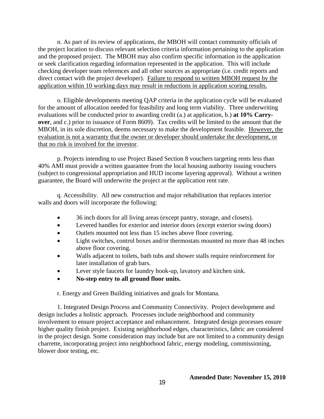n. As part of its review of applications, the MBOH will contact community officials of the project location to discuss relevant selection criteria information pertaining to the application and the proposed project. The MBOH may also confirm specific information in the application or seek clarification regarding information represented in the application. This will include checking developer team references and all other sources as appropriate (i.e. credit reports and direct contact with the project developer). Failure to respond to written MBOH request by the application within 10 working days may result in reductions in application scoring results.

o. Eligible developments meeting QAP criteria in the application cycle will be evaluated for the amount of allocation needed for feasibility and long term viability. Three underwriting evaluations will be conducted prior to awarding credit (a.) at application, b.) **at 10% Carryover**, and c.) prior to issuance of Form 8609). Tax credits will be limited to the amount that the MBOH, in its sole discretion, deems necessary to make the development feasible. However, the evaluation is not a warranty that the owner or developer should undertake the development, or that no risk is involved for the investor.

p. Projects intending to use Project Based Section 8 vouchers targeting rents less than 40% AMI must provide a written guarantee from the local housing authority issuing vouchers (subject to congressional appropriation and HUD income layering approval). Without a written guarantee, the Board will underwrite the project at the application rent rate.

q. Accessibility. All new construction and major rehabilitation that replaces interior walls and doors will incorporate the following:

- 36 inch doors for all living areas (except pantry, storage, and closets).
- Levered handles for exterior and interior doors (except exterior swing doors)
- Outlets mounted not less than 15 inches above floor covering.
- Light switches, control boxes and/or thermostats mounted no more than 48 inches above floor covering.
- Walls adjacent to toilets, bath tubs and shower stalls require reinforcement for later installation of grab bars.
- Lever style faucets for laundry hook-up, lavatory and kitchen sink.
- **No-step entry to all ground floor units.**

r. Energy and Green Building initiatives and goals for Montana.

1. Integrated Design Process and Community Connectivity. Project development and design includes a holistic approach. Processes include neighborhood and community involvement to ensure project acceptance and enhancement. Integrated design processes ensure higher quality finish project. Existing neighborhood edges, characteristics, fabric are considered in the project design. Some consideration may include but are not limited to a community design charrette, incorporating project into neighborhood fabric, energy modeling, commissioning, blower door testing, etc.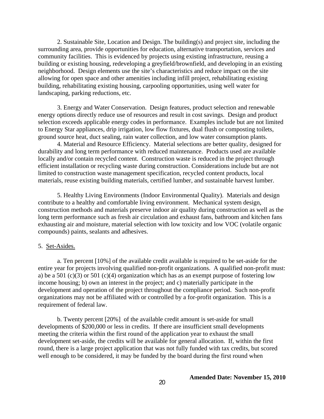2. Sustainable Site, Location and Design. The building(s) and project site, including the surrounding area, provide opportunities for education, alternative transportation, services and community facilities. This is evidenced by projects using existing infrastructure, reusing a building or existing housing, redeveloping a greyfield/brownfield, and developing in an existing neighborhood. Design elements use the site's characteristics and reduce impact on the site allowing for open space and other amenities including infill project, rehabilitating existing building, rehabilitating existing housing, carpooling opportunities, using well water for landscaping, parking reductions, etc.

3. Energy and Water Conservation. Design features, product selection and renewable energy options directly reduce use of resources and result in cost savings. Design and product selection exceeds applicable energy codes in performance. Examples include but are not limited to Energy Star appliances, drip irrigation, low flow fixtures, dual flush or composting toilets, ground source heat, duct sealing, rain water collection, and low water consumption plants.

4. Material and Resource Efficiency. Material selections are better quality, designed for durability and long term performance with reduced maintenance. Products used are available locally and/or contain recycled content. Construction waste is reduced in the project through efficient installation or recycling waste during construction. Considerations include but are not limited to construction waste management specification, recycled content products, local materials, reuse existing building materials, certified lumber, and sustainable harvest lumber.

5. Healthy Living Environments (Indoor Environmental Quality). Materials and design contribute to a healthy and comfortable living environment. Mechanical system design, construction methods and materials preserve indoor air quality during construction as well as the long term performance such as fresh air circulation and exhaust fans, bathroom and kitchen fans exhausting air and moisture, material selection with low toxicity and low VOC (volatile organic compounds) paints, sealants and adhesives.

### 5. Set-Asides.

a. Ten percent [10%] of the available credit available is required to be set-aside for the entire year for projects involving qualified non-profit organizations. A qualified non-profit must: a) be a 501 (c)(3) or 501 (c)(4) organization which has as an exempt purpose of fostering low income housing; b) own an interest in the project; and c) materially participate in the development and operation of the project throughout the compliance period. Such non-profit organizations may not be affiliated with or controlled by a for-profit organization. This is a requirement of federal law.

b. Twenty percent [20%] of the available credit amount is set-aside for small developments of \$200,000 or less in credits. If there are insufficient small developments meeting the criteria within the first round of the application year to exhaust the small development set-aside, the credits will be available for general allocation. If, within the first round, there is a large project application that was not fully funded with tax credits, but scored well enough to be considered, it may be funded by the board during the first round when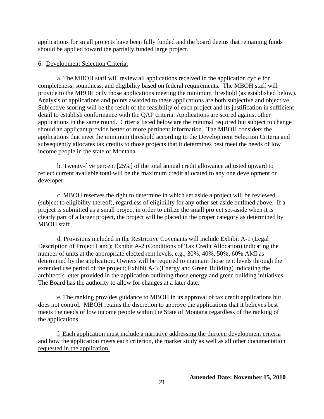applications for small projects have been fully funded and the board deems that remaining funds should be applied toward the partially funded large project.

#### 6. Development Selection Criteria.

a. The MBOH staff will review all applications received in the application cycle for completeness, soundness, and eligibility based on federal requirements. The MBOH staff will provide to the MBOH only those applications meeting the minimum threshold (as established below). Analysis of applications and points awarded to these applications are both subjective and objective. Subjective scoring will be the result of the feasibility of each project and its justification in sufficient detail to establish conformance with the QAP criteria. Applications are scored against other applications in the same round. Criteria listed below are the minimal required but subject to change should an applicant provide better or more pertinent information. The MBOH considers the applications that meet the minimum threshold according to the Development Selection Criteria and subsequently allocates tax credits to those projects that it determines best meet the needs of low income people in the state of Montana.

b. Twenty-five percent [25%] of the total annual credit allowance adjusted upward to reflect current available total will be the maximum credit allocated to any one development or developer.

c. MBOH reserves the right to determine in which set aside a project will be reviewed (subject to eligibility thereof), regardless of eligibility for any other set-aside outlined above. If a project is submitted as a small project in order to utilize the small project set-aside when it is clearly part of a larger project, the project will be placed in the proper category as determined by MBOH staff.

d. Provisions included in the Restrictive Covenants will include Exhibit A-1 (Legal Description of Project Land); Exhibit A-2 (Conditions of Tax Credit Allocation) indicating the number of units at the appropriate elected rent levels, e.g., 30%, 40%, 50%, 60% AMI as determined by the application. Owners will be required to maintain those rent levels through the extended use period of the project; Exhibit A-3 (Energy and Green Building) indicating the architect's letter provided in the application outlining those energy and green building initiatives. The Board has the authority to allow for changes at a later date.

e. The ranking provides guidance to MBOH in its approval of tax credit applications but does not control. MBOH retains the discretion to approve the applications that it believes best meets the needs of low income people within the State of Montana regardless of the ranking of the applications.

f. Each application must include a narrative addressing the thirteen development criteria and how the application meets each criterion, the market study as well as all other documentation requested in the application.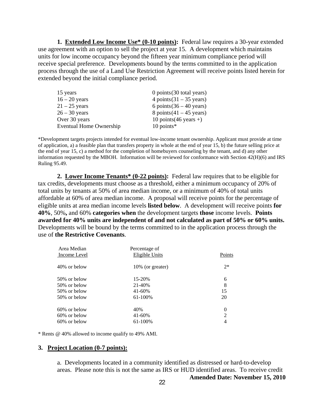**1. Extended Low Income Use\* (0-10 points):** Federal law requires a 30-year extended use agreement with an option to sell the project at year 15. A development which maintains units for low income occupancy beyond the fifteen year minimum compliance period will receive special preference. Developments bound by the terms committed to in the application process through the use of a Land Use Restriction Agreement will receive points listed herein for extended beyond the initial compliance period.

| 0 points $(30 \text{ total years})$ |
|-------------------------------------|
| 4 points $(31 – 35 \text{ years})$  |
| 6 points $(36 – 40 \text{ years})$  |
| 8 points $(41 – 45$ years)          |
| 10 points $(46 \text{ years} +)$    |
| $10$ points*                        |
|                                     |

\*Development targets projects intended for eventual low-income tenant ownership. Applicant must provide at time of application, a) a feasible plan that transfers property in whole at the end of year 15, b) the future selling price at the end of year 15, c) a method for the completion of homebuyers counseling by the tenant, and d) any other information requested by the MBOH. Information will be reviewed for conformance with Section 42(H)(6) and IRS Ruling 95.49.

2. Lower Income Tenants<sup>\*</sup> (0-22 points): Federal law requires that to be eligible for tax credits, developments must choose as a threshold, either a minimum occupancy of 20% of total units by tenants at 50% of area median income, or a minimum of 40% of total units affordable at 60% of area median income. A proposal will receive points for the percentage of eligible units at area median income levels **listed below**. A development will receive points **for 40%**, 50%**,** and 60% **categories when** the development targets **those** income levels. **Points awarded for 40% units are independent of and not calculated as part of 50% or 60% units.** Developments will be bound by the terms committed to in the application process through the use of **the Restrictive Covenants**.

| Area Median         | Percentage of         |                  |
|---------------------|-----------------------|------------------|
| <b>Income Level</b> | <b>Eligible Units</b> | Points           |
| 40% or below        | 10% (or greater)      | $2*$             |
| 50\% or below       | 15-20%                | 6                |
| 50\% or below       | 21-40%                | 8                |
| 50% or below        | 41-60%                | 15               |
| 50% or below        | 61-100%               | 20               |
| $60\%$ or below     | 40%                   | $\boldsymbol{0}$ |
| 60% or below        | 41-60%                | $\overline{2}$   |
| $60\%$ or below     | 61-100%               | 4                |
|                     |                       |                  |

\* Rents @ 40% allowed to income qualify to 49% AMI.

#### **3. Project Location (0-7 points):**

a. Developments located in a community identified as distressed or hard-to-develop areas. Please note this is not the same as IRS or HUD identified areas. To receive credit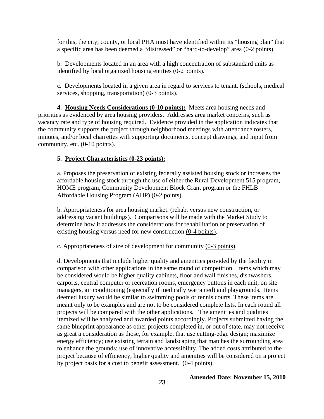for this, the city, county, or local PHA must have identified within its "housing plan" that a specific area has been deemed a "distressed" or "hard-to-develop" area (0**-**2 points).

b. Developments located in an area with a high concentration of substandard units as identified by local organized housing entities (0**-**2 points).

c. Developments located in a given area in regard to services to tenant. (schools, medical services, shopping, transportation) (0**-**3 points).

 **4. Housing Needs Considerations (0-10 points):** Meets area housing needs and priorities as evidenced by area housing providers. Addresses area market concerns, such as vacancy rate and type of housing required. Evidence provided in the application indicates that the community supports the project through neighborhood meetings with attendance rosters, minutes, and/or local charrettes with supporting documents, concept drawings, and input from community, etc. (0-10 points).

#### **5. Project Characteristics (0-23 points):**

a. Proposes the preservation of existing federally assisted housing stock or increases the affordable housing stock through the use of either the Rural Development 515 program, HOME program, Community Development Block Grant program or the FHLB Affordable Housing Program (AHP**)** (0**-**2 points).

b. Appropriateness for area housing market. (rehab. versus new construction, or addressing vacant buildings). Comparisons will be made with the Market Study to determine how it addresses the considerations for rehabilitation or preservation of existing housing versus need for new construction (0**-**4 points).

c. Appropriateness of size of development for community (0**-**3 points).

d. Developments that include higher quality and amenities provided by the facility in comparison with other applications in the same round of competition. Items which may be considered would be higher quality cabinets, floor and wall finishes, dishwashers, carports, central computer or recreation rooms, emergency buttons in each unit, on site managers, air conditioning (especially if medically warranted) and playgrounds. Items deemed luxury would be similar to swimming pools or tennis courts. These items are meant only to be examples and are not to be considered complete lists. In each round all projects will be compared with the other applications. The amenities and qualities itemized will be analyzed and awarded points accordingly. Projects submitted having the same blueprint appearance as other projects completed in, or out of state, may not receive as great a consideration as those, for example, that use cutting-edge design; maximize energy efficiency; use existing terrain and landscaping that matches the surrounding area to enhance the grounds; use of innovative accessibility. The added costs attributed to the project because of efficiency, higher quality and amenities will be considered on a project by project basis for a cost to benefit assessment. (0-4 points).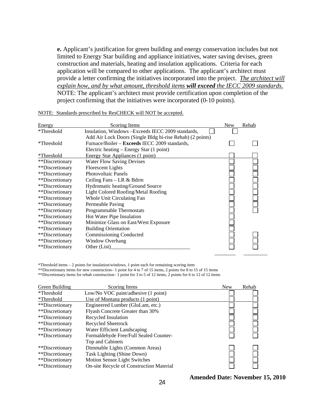**e.** Applicant's justification for green building and energy conservation includes but not limited to Energy Star building and appliance initiatives, water saving devises, green construction and materials, heating and insulation applications. Criteria for each application will be compared to other applications. The applicant's architect must provide a letter confirming the initiatives incorporated into the project.*The architect will explain how, and by what amount, threshold items will exceed the IECC 2009 standards.* NOTE: The applicant's architect must provide certification upon completion of the project confirming that the initiatives were incorporated (0-10 points).

| Energy          | <b>Scoring Items</b>                                      | <b>New</b> | Rehab |
|-----------------|-----------------------------------------------------------|------------|-------|
| *Threshold      | Insulation, Windows - Exceeds IECC 2009 standards,        |            |       |
|                 | Add Air Lock Doors (Single Bldg hi-rise Rehab) (2 points) |            |       |
| *Threshold      | Furnace/Boiler - Exceeds IECC 2009 standards,             |            |       |
|                 | Electric heating – Energy Star (1 point)                  |            |       |
| *Threshold      | Energy Star Appliances (1 point)                          |            |       |
| **Discretionary | <b>Water Flow Saving Devises</b>                          |            |       |
| **Discretionary | Florescent Lights                                         |            |       |
| **Discretionary | <b>Photovoltaic Panels</b>                                |            |       |
| **Discretionary | Ceiling Fans - LR & Bdrm                                  |            |       |
| **Discretionary | Hydromatic heating/Ground Source                          |            |       |
| **Discretionary | Light Colored Roofing/Metal Roofing                       |            |       |
| **Discretionary | Whole Unit Circulating Fan                                |            |       |
| **Discretionary | Permeable Paving                                          |            |       |
| **Discretionary | Programmable Thermostats                                  |            |       |
| **Discretionary | Hot Water Pipe Insulation                                 |            |       |
| **Discretionary | Minimize Glass on East/West Exposure                      |            |       |
| **Discretionary | <b>Building Orientation</b>                               |            |       |
| **Discretionary | <b>Commissioning Conducted</b>                            |            |       |
| **Discretionary | <b>Window Overhang</b>                                    |            |       |
| **Discretionary | Other (List)                                              |            |       |
|                 |                                                           |            |       |

NOTE: Standards prescribed by ResCHECK will NOT be accepted.

\*Threshold items – 2 points for insulation/windows, 1 point each for remaining scoring item

\*\*Discretionary items for new construction– 1 point for 4 to 7 of 15 items, 2 points for 8 to 15 of 15 items

\*\*Discretionary items for rehab construction– 1 point for 3 to 5 of 12 items, 2 points for 6 to 12 of 12 items

| Green Building  | Scoring Items                            | <b>New</b> | Rehab |
|-----------------|------------------------------------------|------------|-------|
| *Threshold      | Low/No VOC paint/adhesive (1 point)      |            |       |
| *Threshold      | Use of Montana products (1 point)        |            |       |
| **Discretionary | Engineered Lumber (GluLam, etc.)         |            |       |
| **Discretionary | Flyash Concrete Greater than 30%         |            |       |
| **Discretionary | Recycled Insulation                      |            |       |
| **Discretionary | Recycled Sheetrock                       |            |       |
| **Discretionary | Water Efficient Landscaping              |            |       |
| **Discretionary | Formaldehyde Free/Full Sealed Counter-   |            |       |
|                 | Top and Cabinets                         |            |       |
| **Discretionary | Dimmable Lights (Common Areas)           |            |       |
| **Discretionary | Task Lighting (Shine Down)               |            |       |
| **Discretionary | Motion Sensor Light Switches             |            |       |
| **Discretionary | On-site Recycle of Construction Material |            |       |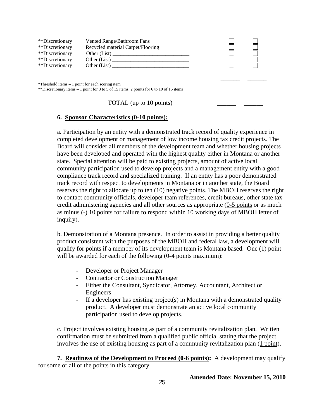| **Discretionary<br>**Discretionary<br>**Discretionary<br>**Discretionary<br>**Discretionary | Vented Range/Bathroom Fans<br>Recycled material Carpet/Flooring<br>Other (List)<br>Other (List) |  |
|---------------------------------------------------------------------------------------------|-------------------------------------------------------------------------------------------------|--|
| *Threshold items $-1$ point for each scoring item                                           | **Discretionary items $-1$ point for 3 to 5 of 15 items, 2 points for 6 to 10 of 15 items       |  |

TOTAL (up to  $10$  points)

### **6. Sponsor Characteristics (0-10 points):**

a. Participation by an entity with a demonstrated track record of quality experience in completed development or management of low income housing tax credit projects. The Board will consider all members of the development team and whether housing projects have been developed and operated with the highest quality either in Montana or another state. Special attention will be paid to existing projects, amount of active local community participation used to develop projects and a management entity with a good compliance track record and specialized training. If an entity has a poor demonstrated track record with respect to developments in Montana or in another state, the Board reserves the right to allocate up to ten (10) negative points. The MBOH reserves the right to contact community officials, developer team references, credit bureaus, other state tax credit administering agencies and all other sources as appropriate (0**-**5 points or as much as minus (-) 10 points for failure to respond within 10 working days of MBOH letter of inquiry).

b. Demonstration of a Montana presence. In order to assist in providing a better quality product consistent with the purposes of the MBOH and federal law, a development will qualify for points if a member of its development team is Montana based. One (1) point will be awarded for each of the following (0**-**4 points maximum):

- Developer or Project Manager
- Contractor or Construction Manager
- Either the Consultant, Syndicator, Attorney, Accountant, Architect or Engineers
- If a developer has existing project(s) in Montana with a demonstrated quality product. A developer must demonstrate an active local community participation used to develop projects.

 c. Project involves existing housing as part of a community revitalization plan. Written confirmation must be submitted from a qualified public official stating that the project involves the use of existing housing as part of a community revitalization plan (1 point).

**7. Readiness of the Development to Proceed (0-6 points):** A development may qualify for some or all of the points in this category.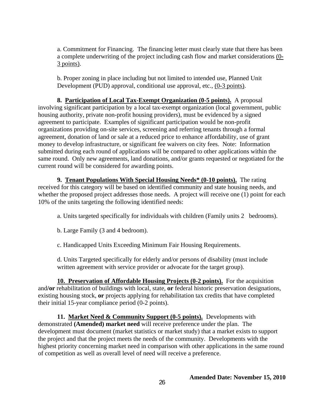a. Commitment for Financing. The financing letter must clearly state that there has been a complete underwriting of the project including cash flow and market considerations (0**-** 3 points).

b. Proper zoning in place including but not limited to intended use, Planned Unit Development (PUD) approval, conditional use approval, etc., (0**-**3 points).

**8. Participation of Local Tax-Exempt Organization (0-5 points).** A proposal involving significant participation by a local tax-exempt organization (local government, public housing authority, private non-profit housing providers), must be evidenced by a signed agreement to participate. Examples of significant participation would be non-profit organizations providing on-site services, screening and referring tenants through a formal agreement, donation of land or sale at a reduced price to enhance affordability, use of grant money to develop infrastructure, or significant fee waivers on city fees. Note: Information submitted during each round of applications will be compared to other applications within the same round. Only new agreements, land donations, and/or grants requested or negotiated for the current round will be considered for awarding points.

**9. Tenant Populations With Special Housing Needs\* (0-10 points).** The rating received for this category will be based on identified community and state housing needs, and whether the proposed project addresses those needs. A project will receive one (1) point for each 10% of the units targeting the following identified needs:

a. Units targeted specifically for individuals with children (Family units 2 bedrooms).

b. Large Family (3 and 4 bedroom).

c. Handicapped Units Exceeding Minimum Fair Housing Requirements.

d. Units Targeted specifically for elderly and/or persons of disability (must include written agreement with service provider or advocate for the target group).

**10. Preservation of Affordable Housing Projects (0-2 points).** For the acquisition and**/or** rehabilitation of buildings with local, state, **or** federal historic preservation designations, existing housing stock, **or** projects applying for rehabilitation tax credits that have completed their initial 15-year compliance period (0-2 points).

**11. Market Need & Community Support (0-5 points).** Developments with demonstrated **(Amended) market need** will receive preference under the plan. The development must document (market statistics or market study) that a market exists to support the project and that the project meets the needs of the community. Developments with the highest priority concerning market need in comparison with other applications in the same round of competition as well as overall level of need will receive a preference.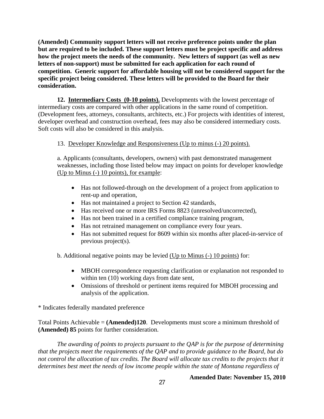**(Amended) Community support letters will not receive preference points under the plan but are required to be included. These support letters must be project specific and address how the project meets the needs of the community. New letters of support (as well as new letters of non-support) must be submitted for each application for each round of competition. Generic support for affordable housing will not be considered support for the specific project being considered. These letters will be provided to the Board for their consideration.**

**12. Intermediary Costs (0-10 points).** Developments with the lowest percentage of intermediary costs are compared with other applications in the same round of competition. (Development fees, attorneys, consultants, architects, etc.) For projects with identities of interest, developer overhead and construction overhead, fees may also be considered intermediary costs. Soft costs will also be considered in this analysis.

### 13. Developer Knowledge and Responsiveness (Up to minus (-) 20 points).

a. Applicants (consultants, developers, owners) with past demonstrated management weaknesses, including those listed below may impact on points for developer knowledge (Up to Minus (-) 10 points), for example:

- Has not followed-through on the development of a project from application to rent-up and operation,
- Has not maintained a project to Section 42 standards,
- Has received one or more IRS Forms 8823 (unresolved/uncorrected),
- Has not been trained in a certified compliance training program,
- Has not retrained management on compliance every four years.
- Has not submitted request for 8609 within six months after placed-in-service of previous project(s).

b. Additional negative points may be levied (Up to Minus (-) 10 points) for:

- MBOH correspondence requesting clarification or explanation not responded to within ten (10) working days from date sent,
- Omissions of threshold or pertinent items required for MBOH processing and analysis of the application.

\* Indicates federally mandated preference

Total Points Achievable = **(Amended)120**. Developments must score a minimum threshold of **(Amended) 85** points for further consideration.

*The awarding of points to projects pursuant to the QAP is for the purpose of determining that the projects meet the requirements of the QAP and to provide guidance to the Board, but do not control the allocation of tax credits. The Board will allocate tax credits to the projects that it determines best meet the needs of low income people within the state of Montana regardless of*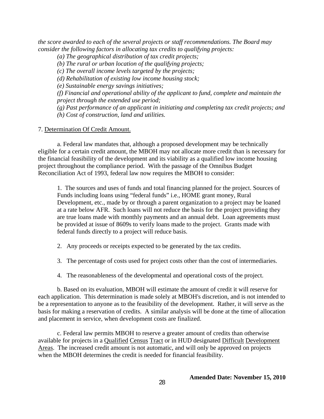*the score awarded to each of the several projects or staff recommendations. The Board may consider the following factors in allocating tax credits to qualifying projects:* 

*(a) The geographical distribution of tax credit projects;* 

*(b) The rural or urban location of the qualifying projects;* 

*(c) The overall income levels targeted by the projects;* 

*(d) Rehabilitation of existing low income housing stock;* 

*(e) Sustainable energy savings initiatives;* 

*(f) Financial and operational ability of the applicant to fund, complete and maintain the project through the extended use period;* 

*(g) Past performance of an applicant in initiating and completing tax credit projects; and (h) Cost of construction, land and utilities.* 

#### 7. Determination Of Credit Amount.

a. Federal law mandates that, although a proposed development may be technically eligible for a certain credit amount, the MBOH may not allocate more credit than is necessary for the financial feasibility of the development and its viability as a qualified low income housing project throughout the compliance period. With the passage of the Omnibus Budget Reconciliation Act of 1993, federal law now requires the MBOH to consider:

1. The sources and uses of funds and total financing planned for the project. Sources of Funds including loans using "federal funds" i.e., HOME grant money, Rural Development, etc., made by or through a parent organization to a project may be loaned at a rate below AFR. Such loans will not reduce the basis for the project providing they are true loans made with monthly payments and an annual debt. Loan agreements must be provided at issue of 8609s to verify loans made to the project. Grants made with federal funds directly to a project will reduce basis.

- 2. Any proceeds or receipts expected to be generated by the tax credits.
- 3. The percentage of costs used for project costs other than the cost of intermediaries.
- 4. The reasonableness of the developmental and operational costs of the project.

b. Based on its evaluation, MBOH will estimate the amount of credit it will reserve for each application. This determination is made solely at MBOH's discretion, and is not intended to be a representation to anyone as to the feasibility of the development. Rather, it will serve as the basis for making a reservation of credits. A similar analysis will be done at the time of allocation and placement in service, when development costs are finalized.

c. Federal law permits MBOH to reserve a greater amount of credits than otherwise available for projects in a Qualified Census Tract or in HUD designated Difficult Development Areas. The increased credit amount is not automatic, and will only be approved on projects when the MBOH determines the credit is needed for financial feasibility.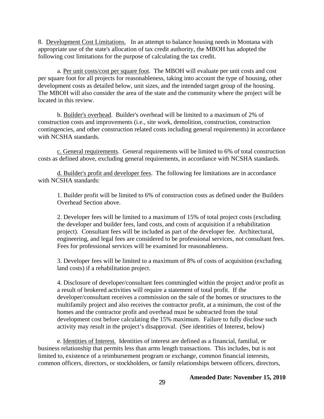8. Development Cost Limitations. In an attempt to balance housing needs in Montana with appropriate use of the state's allocation of tax credit authority, the MBOH has adopted the following cost limitations for the purpose of calculating the tax credit.

 a. Per unit costs/cost per square foot. The MBOH will evaluate per unit costs and cost per square foot for all projects for reasonableness, taking into account the type of housing, other development costs as detailed below, unit sizes, and the intended target group of the housing. The MBOH will also consider the area of the state and the community where the project will be located in this review.

b. Builder's overhead. Builder's overhead will be limited to a maximum of 2% of construction costs and improvements (i.e., site work, demolition, construction, construction contingencies, and other construction related costs including general requirements) in accordance with NCSHA standards.

c. General requirements. General requirements will be limited to 6% of total construction costs as defined above, excluding general requirements, in accordance with NCSHA standards.

d. Builder's profit and developer fees. The following fee limitations are in accordance with NCSHA standards:

1. Builder profit will be limited to 6% of construction costs as defined under the Builders Overhead Section above.

2. Developer fees will be limited to a maximum of 15% of total project costs (excluding the developer and builder fees, land costs, and costs of acquisition if a rehabilitation project). Consultant fees will be included as part of the developer fee. Architectural, engineering, and legal fees are considered to be professional services, not consultant fees. Fees for professional services will be examined for reasonableness.

3. Developer fees will be limited to a maximum of 8% of costs of acquisition (excluding land costs) if a rehabilitation project.

4. Disclosure of developer/consultant fees commingled within the project and/or profit as a result of brokered activities will require a statement of total profit. If the developer/consultant receives a commission on the sale of the homes or structures to the multifamily project and also receives the contractor profit, at a minimum, the cost of the homes and the contractor profit and overhead must be subtracted from the total development cost before calculating the 15% maximum. Failure to fully disclose such activity may result in the project's disapproval. (See identities of Interest, below)

 e. Identities of Interest. Identities of interest are defined as a financial, familial, or business relationship that permits less than arms length transactions. This includes, but is not limited to, existence of a reimbursement program or exchange, common financial interests, common officers, directors, or stockholders, or family relationships between officers, directors,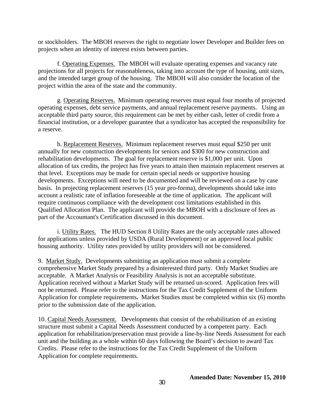or stockholders. The MBOH reserves the right to negotiate lower Developer and Builder fees on projects when an identity of interest exists between parties.

 f. Operating Expenses. The MBOH will evaluate operating expenses and vacancy rate projections for all projects for reasonableness, taking into account the type of housing, unit sizes, and the intended target group of the housing. The MBOH will also consider the location of the project within the area of the state and the community.

 g. Operating Reserves. Minimum operating reserves must equal four months of projected operating expenses, debt service payments, and annual replacement reserve payments. Using an acceptable third party source, this requirement can be met by either cash, letter of credit from a financial institution, or a developer guarantee that a syndicator has accepted the responsibility for a reserve.

 h. Replacement Reserves. Minimum replacement reserves must equal \$250 per unit annually for new construction developments for seniors and \$300 for new construction and rehabilitation developments. The goal for replacement reserve is \$1,000 per unit. Upon allocation of tax credits, the project has five years to attain then maintain replacement reserves at that level.Exceptions may be made for certain special needs or supportive housing developments. Exceptions will need to be documented and will be reviewed on a case by case basis. In projecting replacement reserves (15 year pro-forma), developments should take into account a realistic rate of inflation foreseeable at the time of application. The applicant will require continuous compliance with the development cost limitations established in this Qualified Allocation Plan. The applicant will provide the MBOH with a disclosure of fees as part of the Accountant's Certification discussed in this document.

 i. Utility Rates. The HUD Section 8 Utility Rates are the only acceptable rates allowed for applications unless provided by USDA (Rural Development) or an approved local public housing authority. Utility rates provided by utility providers will not be considered.

9. Market Study. Developments submitting an application must submit a complete comprehensive Market Study prepared by a disinterested third party. Only Market Studies are acceptable. A Market Analysis or Feasibility Analysis is not an acceptable substitute. Application received without a Market Study will be returned un-scored. Application fees will not be returned. Please refer to the instructions for the Tax Credit Supplement of the Uniform Application for complete requirements**.** Market Studies must be completed within six (6) months prior to the submission date of the application.

10. Capital Needs Assessment. Developments that consist of the rehabilitation of an existing structure must submit a Capital Needs Assessment conducted by a competent party. Each application for rehabilitation/preservation must provide a line-by-line Needs Assessment for each unit and the building as a whole within 60 days following the Board's decision to award Tax Credits.Please refer to the instructions for the Tax Credit Supplement of the Uniform Application for complete requirements.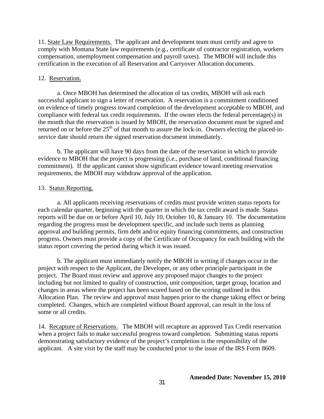11. State Law Requirements. The applicant and development team must certify and agree to comply with Montana State law requirements (e.g., certificate of contractor registration, workers compensation, unemployment compensation and payroll taxes). The MBOH will include this certification in the execution of all Reservation and Carryover Allocation documents.

#### 12. Reservation.

a. Once MBOH has determined the allocation of tax credits, MBOH will ask each successful applicant to sign a letter of reservation. A reservation is a commitment conditioned on evidence of timely progress toward completion of the development acceptable to MBOH, and compliance with federal tax credit requirements. If the owner elects the federal percentage(s) in the month that the reservation is issued by MBOH, the reservation document must be signed and returned on or before the  $25<sup>th</sup>$  of that month to assure the lock-in. Owners electing the placed-inservice date should return the signed reservation document immediately.

b. The applicant will have 90 days from the date of the reservation in which to provide evidence to MBOH that the project is progressing (i.e., purchase of land, conditional financing commitment). If the applicant cannot show significant evidence toward meeting reservation requirements, the MBOH may withdraw approval of the application.

#### 13. Status Reporting.

a. All applicants receiving reservations of credits must provide written status reports for each calendar quarter, beginning with the quarter in which the tax credit award is made. Status reports will be due on or before April 10, July 10, October 10, & January 10. The documentation regarding the progress must be development specific, and include such items as planning approval and building permits, firm debt and/or equity financing commitments, and construction progress. Owners must provide a copy of the Certificate of Occupancy for each building with the status report covering the period during which it was issued.

b. The applicant must immediately notify the MBOH in writing if changes occur in the project with respect to the Applicant, the Developer, or any other principle participant in the project. The Board must review and approve any proposed major changes to the project including but not limited to quality of construction, unit composition, target group, location and changes in areas where the project has been scored based on the scoring outlined in this Allocation Plan. The review and approval must happen prior to the change taking effect or being completed. Changes, which are completed without Board approval, can result in the loss of some or all credits.

14. Recapture of Reservations. The MBOH will recapture an approved Tax Credit reservation when a project fails to make successful progress toward completion. Submitting status reports demonstrating satisfactory evidence of the project's completion is the responsibility of the applicant. A site visit by the staff may be conducted prior to the issue of the IRS Form 8609.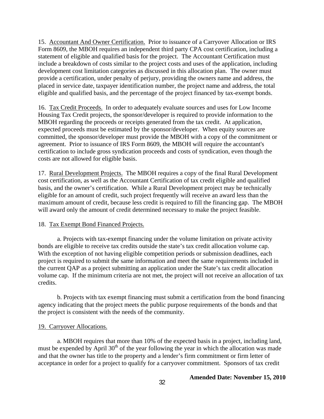15. Accountant And Owner Certification. Prior to issuance of a Carryover Allocation or IRS Form 8609, the MBOH requires an independent third party CPA cost certification, including a statement of eligible and qualified basis for the project. The Accountant Certification must include a breakdown of costs similar to the project costs and uses of the application, including development cost limitation categories as discussed in this allocation plan. The owner must provide a certification, under penalty of perjury, providing the owners name and address, the placed in service date, taxpayer identification number, the project name and address, the total eligible and qualified basis, and the percentage of the project financed by tax-exempt bonds.

16. Tax Credit Proceeds. In order to adequately evaluate sources and uses for Low Income Housing Tax Credit projects, the sponsor/developer is required to provide information to the MBOH regarding the proceeds or receipts generated from the tax credit. At application, expected proceeds must be estimated by the sponsor/developer. When equity sources are committed, the sponsor/developer must provide the MBOH with a copy of the commitment or agreement. Prior to issuance of IRS Form 8609, the MBOH will require the accountant's certification to include gross syndication proceeds and costs of syndication, even though the costs are not allowed for eligible basis.

17. Rural Development Projects. The MBOH requires a copy of the final Rural Development cost certification, as well as the Accountant Certification of tax credit eligible and qualified basis, and the owner's certification. While a Rural Development project may be technically eligible for an amount of credit, such project frequently will receive an award less than the maximum amount of credit, because less credit is required to fill the financing gap. The MBOH will award only the amount of credit determined necessary to make the project feasible.

#### 18. Tax Exempt Bond Financed Projects.

a. Projects with tax-exempt financing under the volume limitation on private activity bonds are eligible to receive tax credits outside the state's tax credit allocation volume cap. With the exception of not having eligible competition periods or submission deadlines, each project is required to submit the same information and meet the same requirements included in the current QAP as a project submitting an application under the State's tax credit allocation volume cap. If the minimum criteria are not met, the project will not receive an allocation of tax credits.

b. Projects with tax exempt financing must submit a certification from the bond financing agency indicating that the project meets the public purpose requirements of the bonds and that the project is consistent with the needs of the community.

#### 19. Carryover Allocations.

a. MBOH requires that more than 10% of the expected basis in a project, including land, must be expended by April  $30<sup>th</sup>$  of the year following the year in which the allocation was made and that the owner has title to the property and a lender's firm commitment or firm letter of acceptance in order for a project to qualify for a carryover commitment. Sponsors of tax credit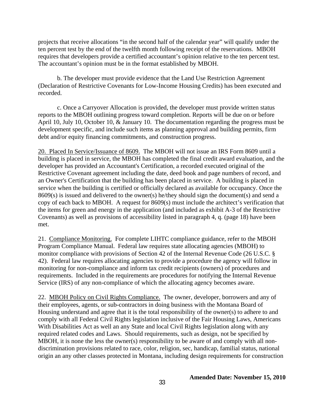projects that receive allocations "in the second half of the calendar year" will qualify under the ten percent test by the end of the twelfth month following receipt of the reservations. MBOH requires that developers provide a certified accountant's opinion relative to the ten percent test. The accountant's opinion must be in the format established by MBOH.

b. The developer must provide evidence that the Land Use Restriction Agreement (Declaration of Restrictive Covenants for Low-Income Housing Credits) has been executed and recorded.

c. Once a Carryover Allocation is provided, the developer must provide written status reports to the MBOH outlining progress toward completion. Reports will be due on or before April 10, July 10, October 10, & January 10. The documentation regarding the progress must be development specific, and include such items as planning approval and building permits, firm debt and/or equity financing commitments, and construction progress.

20. Placed In Service/Issuance of 8609. The MBOH will not issue an IRS Form 8609 until a building is placed in service, the MBOH has completed the final credit award evaluation, and the developer has provided an Accountant's Certification, a recorded executed original of the Restrictive Covenant agreement including the date, deed book and page numbers of record, and an Owner's Certification that the building has been placed in service. A building is placed in service when the building is certified or officially declared as available for occupancy. Once the 8609(s) is issued and delivered to the owner(s) he/they should sign the document(s) and send a copy of each back to MBOH. A request for 8609(s) must include the architect's verification that the items for green and energy in the application (and included as exhibit A-3 of the Restrictive Covenants) as well as provisions of accessibility listed in paragraph 4, q. (page 18) have been met.

21. Compliance Monitoring.For complete LIHTC compliance guidance, refer to the MBOH Program Compliance Manual.Federal law requires state allocating agencies (MBOH) to monitor compliance with provisions of Section 42 of the Internal Revenue Code (26 U.S.C. § 42). Federal law requires allocating agencies to provide a procedure the agency will follow in monitoring for non-compliance and inform tax credit recipients (owners) of procedures and requirements. Included in the requirements are procedures for notifying the Internal Revenue Service (IRS) of any non-compliance of which the allocating agency becomes aware.

22. MBOH Policy on Civil Rights Compliance. The owner, developer, borrowers and any of their employees, agents, or sub-contractors in doing business with the Montana Board of Housing understand and agree that it is the total responsibility of the owner(s) to adhere to and comply with all Federal Civil Rights legislation inclusive of the Fair Housing Laws, Americans With Disabilities Act as well an any State and local Civil Rights legislation along with any required related codes and Laws. Should requirements, such as design, not be specified by MBOH, it is none the less the owner(s) responsibility to be aware of and comply with all nondiscrimination provisions related to race, color, religion, sec, handicap, familial status, national origin an any other classes protected in Montana, including design requirements for construction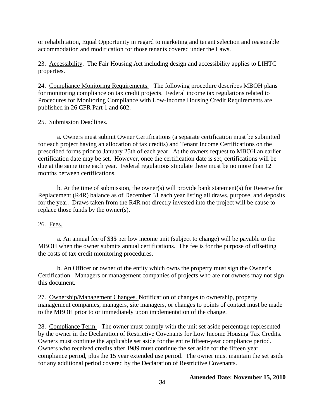or rehabilitation, Equal Opportunity in regard to marketing and tenant selection and reasonable accommodation and modification for those tenants covered under the Laws.

23. Accessibility. The Fair Housing Act including design and accessibility applies to LIHTC properties.

24. Compliance Monitoring Requirements. The following procedure describes MBOH plans for monitoring compliance on tax credit projects. Federal income tax regulations related to Procedures for Monitoring Compliance with Low-Income Housing Credit Requirements are published in 26 CFR Part 1 and 602.

### 25. Submission Deadlines.

 a**.** Owners must submit Owner Certifications (a separate certification must be submitted for each project having an allocation of tax credits) and Tenant Income Certifications on the prescribed forms prior to January 25th of each year. At the owners request to MBOH an earlier certification date may be set. However, once the certification date is set, certifications will be due at the same time each year. Federal regulations stipulate there must be no more than 12 months between certifications.

b. At the time of submission, the owner(s) will provide bank statement(s) for Reserve for Replacement (R4R) balance as of December 31 each year listing all draws, purpose, and deposits for the year. Draws taken from the R4R not directly invested into the project will be cause to replace those funds by the owner(s).

### 26. Fees.

a. An annual fee of \$**35** per low income unit (subject to change) will be payable to the MBOH when the owner submits annual certifications. The fee is for the purpose of offsetting the costs of tax credit monitoring procedures.

b. An Officer or owner of the entity which owns the property must sign the Owner's Certification. Managers or management companies of projects who are not owners may not sign this document.

27. Ownership/Management Changes. Notification of changes to ownership, property management companies, managers, site managers, or changes to points of contact must be made to the MBOH prior to or immediately upon implementation of the change.

28. Compliance Term.The owner must comply with the unit set aside percentage represented by the owner in the Declaration of Restrictive Covenants for Low Income Housing Tax Credits. Owners must continue the applicable set aside for the entire fifteen-year compliance period. Owners who received credits after 1989 must continue the set aside for the fifteen year compliance period, plus the 15 year extended use period. The owner must maintain the set aside for any additional period covered by the Declaration of Restrictive Covenants.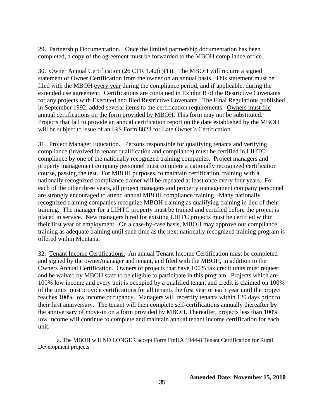29.Partnership Documentation. Once the limited partnership documentation has been completed, a copy of the agreement must be forwarded to the MBOH compliance office.

30. Owner Annual Certification (26 CFR 1.42(c)(1)). The MBOH will require a signed statement of Owner Certification from the owner on an annual basis. This statement must be filed with the MBOH every year during the compliance period, and if applicable, during the extended use agreement. Certifications are contained in Exhibit B of the Restrictive Covenants for any projects with Executed and filed Restrictive Covenants. The Final Regulations published in September 1992, added several items to the certification requirements. Owners must file annual certifications on the form provided by MBOH. This form may not be substituted. Projects that fail to provide an annual certification report on the date established by the MBOH will be subject to issue of an IRS Form 8823 for Late Owner's Certification.

31. Project Manager Education. Persons responsible for qualifying tenants and verifying compliance (involved in tenant qualification and compliance) must be certified in LIHTC compliance by one of the nationally recognized training companies. Project managers and property management company personnel must complete a nationally recognized certification course, passing the test. For MBOH purposes, to maintain certification, training with a nationally recognized compliance trainer will be repeated at least once every four years. For each of the other three years, all project managers and property management company personnel are strongly encouraged to attend annual MBOH compliance training. Many nationally recognized training companies recognize MBOH training as qualifying training in lieu of their training. The manager for a LIHTC property must be trained and certified before the project is placed in service. New managers hired for existing LIHTC projects must be certified within their first year of employment. On a case-by-case basis, MBOH may approve our compliance training as adequate training until such time as the next nationally recognized training program is offered within Montana.

32. Tenant Income Certifications.An annual Tenant Income Certification must be completed and signed by the owner/manager and tenant, and filed with the MBOH, in addition to the Owners Annual Certification. Owners of projects that have 100% tax credit units must request and be waived by MBOH staff to be eligible to participate in this program. Projects which are 100% low income and every unit is occupied by a qualified tenant and credit is claimed on 100% of the units must provide certifications for all tenants the first year or each year until the project reaches 100% low income occupancy. Managers will recertify tenants within 120 days prior to their first anniversary. The tenant will then complete self-certifications annually thereafter **by**  the anniversary of move-in on a form provided by MBOH. Thereafter, projects less than 100% low income will continue to complete and maintain annual tenant income certification for each unit.

a. The MBOH will NO LONGER accept Form FmHA 1944-8 Tenant Certification for Rural Development projects.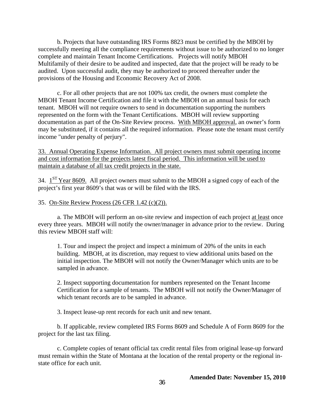b. Projects that have outstanding IRS Forms 8823 must be certified by the MBOH by successfully meeting all the compliance requirements without issue to be authorized to no longer complete and maintain Tenant Income Certifications. Projects will notify MBOH Multifamily of their desire to be audited and inspected, date that the project will be ready to be audited. Upon successful audit, they may be authorized to proceed thereafter under the provisions of the Housing and Economic Recovery Act of 2008.

c. For all other projects that are not 100% tax credit, the owners must complete the MBOH Tenant Income Certification and file it with the MBOH on an annual basis for each tenant. MBOH will not require owners to send in documentation supporting the numbers represented on the form with the Tenant Certifications. MBOH will review supporting documentation as part of the On-Site Review process. With MBOH approval, an owner's form may be substituted, if it contains all the required information. Please note the tenant must certify income "under penalty of perjury".

33. Annual Operating Expense Information. All project owners must submit operating income and cost information for the projects latest fiscal period. This information will be used to maintain a database of all tax credit projects in the state.

34.  $1<sup>ST</sup>$  Year 8609. All project owners must submit to the MBOH a signed copy of each of the project's first year 8609's that was or will be filed with the IRS.

### 35. On-Site Review Process (26 CFR 1.42 (c)(2)).

 a. The MBOH will perform an on-site review and inspection of each project at least once every three years. MBOH will notify the owner/manager in advance prior to the review. During this review MBOH staff will:

1. Tour and inspect the project and inspect a minimum of 20% of the units in each building. MBOH, at its discretion, may request to view additional units based on the initial inspection. The MBOH will not notify the Owner/Manager which units are to be sampled in advance.

2. Inspect supporting documentation for numbers represented on the Tenant Income Certification for a sample of tenants. The MBOH will not notify the Owner/Manager of which tenant records are to be sampled in advance.

3. Inspect lease-up rent records for each unit and new tenant.

b. If applicable, review completed IRS Forms 8609 and Schedule A of Form 8609 for the project for the last tax filing.

 c. Complete copies of tenant official tax credit rental files from original lease-up forward must remain within the State of Montana at the location of the rental property or the regional instate office for each unit.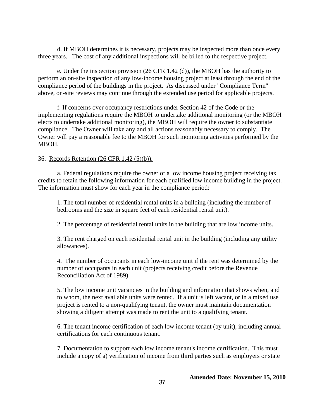d. If MBOH determines it is necessary, projects may be inspected more than once every three years. The cost of any additional inspections will be billed to the respective project.

e. Under the inspection provision (26 CFR 1.42 (d)), the MBOH has the authority to perform an on-site inspection of any low-income housing project at least through the end of the compliance period of the buildings in the project. As discussed under "Compliance Term" above, on-site reviews may continue through the extended use period for applicable projects.

f. If concerns over occupancy restrictions under Section 42 of the Code or the implementing regulations require the MBOH to undertake additional monitoring (or the MBOH elects to undertake additional monitoring), the MBOH will require the owner to substantiate compliance. The Owner will take any and all actions reasonably necessary to comply. The Owner will pay a reasonable fee to the MBOH for such monitoring activities performed by the MBOH.

### 36. Records Retention (26 CFR 1.42 (5)(b)).

a. Federal regulations require the owner of a low income housing project receiving tax credits to retain the following information for each qualified low income building in the project. The information must show for each year in the compliance period:

1. The total number of residential rental units in a building (including the number of bedrooms and the size in square feet of each residential rental unit).

2. The percentage of residential rental units in the building that are low income units.

3. The rent charged on each residential rental unit in the building (including any utility allowances).

4. The number of occupants in each low-income unit if the rent was determined by the number of occupants in each unit (projects receiving credit before the Revenue Reconciliation Act of 1989).

5. The low income unit vacancies in the building and information that shows when, and to whom, the next available units were rented. If a unit is left vacant, or in a mixed use project is rented to a non-qualifying tenant, the owner must maintain documentation showing a diligent attempt was made to rent the unit to a qualifying tenant.

6. The tenant income certification of each low income tenant (by unit), including annual certifications for each continuous tenant.

7. Documentation to support each low income tenant's income certification. This must include a copy of a) verification of income from third parties such as employers or state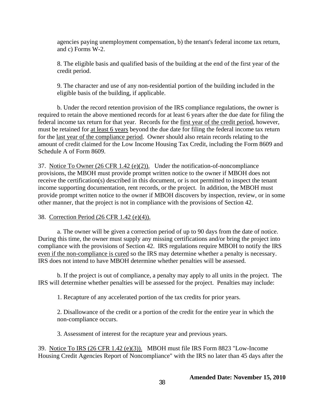agencies paying unemployment compensation, b) the tenant's federal income tax return, and c) Forms W-2.

8. The eligible basis and qualified basis of the building at the end of the first year of the credit period.

9. The character and use of any non-residential portion of the building included in the eligible basis of the building, if applicable.

b. Under the record retention provision of the IRS compliance regulations, the owner is required to retain the above mentioned records for at least 6 years after the due date for filing the federal income tax return for that year. Records for the first year of the credit period, however, must be retained for at least 6 years beyond the due date for filing the federal income tax return for the last year of the compliance period. Owner should also retain records relating to the amount of credit claimed for the Low Income Housing Tax Credit, including the Form 8609 and Schedule A of Form 8609.

37. Notice To Owner (26 CFR 1.42 (e)(2)). Under the notification-of-noncompliance provisions, the MBOH must provide prompt written notice to the owner if MBOH does not receive the certification(s) described in this document, or is not permitted to inspect the tenant income supporting documentation, rent records, or the project. In addition, the MBOH must provide prompt written notice to the owner if MBOH discovers by inspection, review, or in some other manner, that the project is not in compliance with the provisions of Section 42.

38. Correction Period (26 CFR 1.42 (e)(4)).

a. The owner will be given a correction period of up to 90 days from the date of notice. During this time, the owner must supply any missing certifications and/or bring the project into compliance with the provisions of Section 42. IRS regulations require MBOH to notify the IRS even if the non-compliance is cured so the IRS may determine whether a penalty is necessary. IRS does not intend to have MBOH determine whether penalties will be assessed.

b. If the project is out of compliance, a penalty may apply to all units in the project. The IRS will determine whether penalties will be assessed for the project. Penalties may include:

1. Recapture of any accelerated portion of the tax credits for prior years.

2. Disallowance of the credit or a portion of the credit for the entire year in which the non-compliance occurs.

3. Assessment of interest for the recapture year and previous years.

39. Notice To IRS (26 CFR 1.42 (e)(3)). MBOH must file IRS Form 8823 "Low-Income Housing Credit Agencies Report of Noncompliance" with the IRS no later than 45 days after the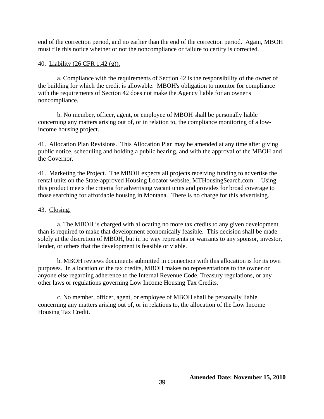end of the correction period, and no earlier than the end of the correction period. Again, MBOH must file this notice whether or not the noncompliance or failure to certify is corrected.

### 40. Liability (26 CFR 1.42 (g)).

a. Compliance with the requirements of Section 42 is the responsibility of the owner of the building for which the credit is allowable. MBOH's obligation to monitor for compliance with the requirements of Section 42 does not make the Agency liable for an owner's noncompliance.

b. No member, officer, agent, or employee of MBOH shall be personally liable concerning any matters arising out of, or in relation to, the compliance monitoring of a lowincome housing project.

41. Allocation Plan Revisions.This Allocation Plan may be amended at any time after giving public notice, scheduling and holding a public hearing, and with the approval of the MBOH and the Governor.

41. Marketing the Project. The MBOH expects all projects receiving funding to advertise the rental units on the State-approved Housing Locator website, MTHousingSearch.com. Using this product meets the criteria for advertising vacant units and provides for broad coverage to those searching for affordable housing in Montana. There is no charge for this advertising.

### 43. Closing.

a. The MBOH is charged with allocating no more tax credits to any given development than is required to make that development economically feasible. This decision shall be made solely at the discretion of MBOH, but in no way represents or warrants to any sponsor, investor, lender, or others that the development is feasible or viable.

b. MBOH reviews documents submitted in connection with this allocation is for its own purposes. In allocation of the tax credits, MBOH makes no representations to the owner or anyone else regarding adherence to the Internal Revenue Code, Treasury regulations, or any other laws or regulations governing Low Income Housing Tax Credits.

c. No member, officer, agent, or employee of MBOH shall be personally liable concerning any matters arising out of, or in relations to, the allocation of the Low Income Housing Tax Credit.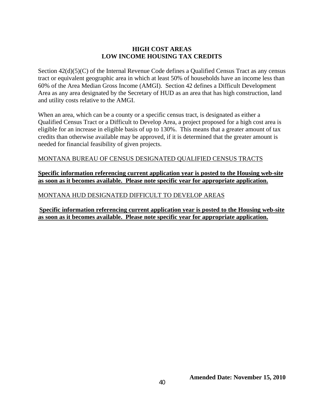### **HIGH COST AREAS LOW INCOME HOUSING TAX CREDITS**

Section  $42(d)(5)(C)$  of the Internal Revenue Code defines a Qualified Census Tract as any census tract or equivalent geographic area in which at least 50% of households have an income less than 60% of the Area Median Gross Income (AMGI). Section 42 defines a Difficult Development Area as any area designated by the Secretary of HUD as an area that has high construction, land and utility costs relative to the AMGI.

When an area, which can be a county or a specific census tract, is designated as either a Qualified Census Tract or a Difficult to Develop Area, a project proposed for a high cost area is eligible for an increase in eligible basis of up to 130%. This means that a greater amount of tax credits than otherwise available may be approved, if it is determined that the greater amount is needed for financial feasibility of given projects.

## MONTANA BUREAU OF CENSUS DESIGNATED QUALIFIED CENSUS TRACTS

### **Specific information referencing current application year is posted to the Housing web-site as soon as it becomes available. Please note specific year for appropriate application.**

## MONTANA HUD DESIGNATED DIFFICULT TO DEVELOP AREAS

**Specific information referencing current application year is posted to the Housing web-site as soon as it becomes available. Please note specific year for appropriate application.**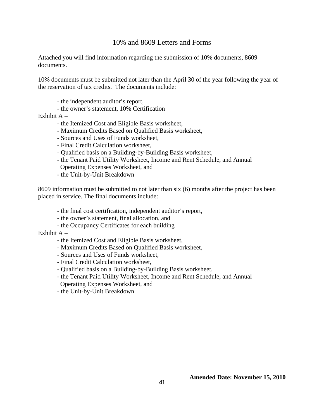### 10% and 8609 Letters and Forms

Attached you will find information regarding the submission of 10% documents, 8609 documents.

10% documents must be submitted not later than the April 30 of the year following the year of the reservation of tax credits. The documents include:

- the independent auditor's report,
- the owner's statement, 10% Certification

Exhibit  $A -$ 

- the Itemized Cost and Eligible Basis worksheet,
- Maximum Credits Based on Qualified Basis worksheet,
- Sources and Uses of Funds worksheet,
- Final Credit Calculation worksheet,
- Qualified basis on a Building-by-Building Basis worksheet,
- the Tenant Paid Utility Worksheet, Income and Rent Schedule, and Annual Operating Expenses Worksheet, and
- the Unit-by-Unit Breakdown

8609 information must be submitted to not later than six (6) months after the project has been placed in service. The final documents include:

- the final cost certification, independent auditor's report,
- the owner's statement, final allocation, and
- the Occupancy Certificates for each building

Exhibit  $A -$ 

- the Itemized Cost and Eligible Basis worksheet,
- Maximum Credits Based on Qualified Basis worksheet,
- Sources and Uses of Funds worksheet,
- Final Credit Calculation worksheet,
- Qualified basis on a Building-by-Building Basis worksheet,
- the Tenant Paid Utility Worksheet, Income and Rent Schedule, and Annual Operating Expenses Worksheet, and
- the Unit-by-Unit Breakdown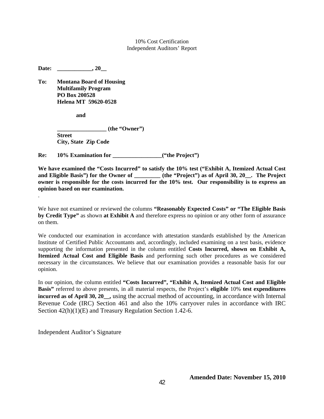10% Cost Certification Independent Auditors' Report

Date: \_\_\_\_\_\_\_\_\_\_\_\_, 20\_\_

**To: Montana Board of Housing Multifamily Program PO Box 200528 Helena MT 59620-0528** 

 **and** 

.

**(the "Owner") Street City, State Zip Code** 

**Re:** 10% Examination for  $($ "the Project")

**We have examined the "Costs Incurred" to satisfy the 10% test ("Exhibit A, Itemized Actual Cost**  and Eligible Basis") for the Owner of **the "Project"** as of April 30, 20  $\blacksquare$ . The Project **owner is responsible for the costs incurred for the 10% test. Our responsibility is to express an opinion based on our examination.** 

We have not examined or reviewed the columns **"Reasonably Expected Costs" or "The Eligible Basis by Credit Type"** as shown **at Exhibit A** and therefore express no opinion or any other form of assurance on them.

We conducted our examination in accordance with attestation standards established by the American Institute of Certified Public Accountants and, accordingly, included examining on a test basis, evidence supporting the information presented in the column entitled **Costs Incurred, shown on Exhibit A, Itemized Actual Cost and Eligible Basis** and performing such other procedures as we considered necessary in the circumstances. We believe that our examination provides a reasonable basis for our opinion.

In our opinion, the column entitled **"Costs Incurred", "Exhibit A, Itemized Actual Cost and Eligible Basis"** referred to above presents, in all material respects, the Project's **eligible** 10% **test expenditures incurred as of April 30, 20\_\_,** using the accrual method of accounting, in accordance with Internal Revenue Code (IRC) Section 461 and also the 10% carryover rules in accordance with IRC Section 42(h)(1)(E) and Treasury Regulation Section 1.42-6.

Independent Auditor's Signature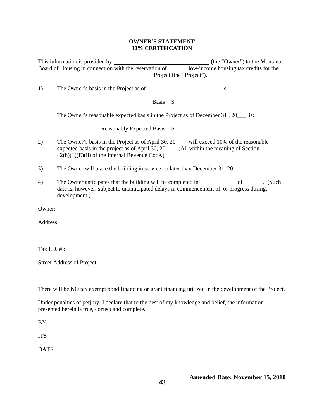#### **OWNER'S STATEMENT 10% CERTIFICATION**

|             | Board of Housing in connection with the reservation of _______ low-income housing tax credits for the ____                                                                                                                               |
|-------------|------------------------------------------------------------------------------------------------------------------------------------------------------------------------------------------------------------------------------------------|
|             | Project (the "Project").                                                                                                                                                                                                                 |
| 1)          |                                                                                                                                                                                                                                          |
|             | Basis $\frac{1}{2}$                                                                                                                                                                                                                      |
|             | The Owner's reasonable expected basis in the Project as of December 31, 20 ___ is:                                                                                                                                                       |
|             | Reasonably Expected Basis \$                                                                                                                                                                                                             |
| 2)          | The Owner's basis in the Project as of April 30, 20___ will exceed 10% of the reasonable<br>expected basis in the project as of April 30, 20_____ (All within the meaning of Section<br>$42(h)(1)(E)(ii)$ of the Internal Revenue Code.) |
| 3)          | The Owner will place the building in service no later than December 31, 20                                                                                                                                                               |
| 4)          | date is, however, subject to unanticipated delays in commencement of, or progress during,<br>development.)                                                                                                                               |
| Owner:      |                                                                                                                                                                                                                                          |
| Address:    |                                                                                                                                                                                                                                          |
|             |                                                                                                                                                                                                                                          |
| Tax I.D. #: |                                                                                                                                                                                                                                          |
|             | Street Address of Project:                                                                                                                                                                                                               |
|             |                                                                                                                                                                                                                                          |
|             | There will be NO tax exempt bond financing or grant financing utilized in the development of the Project.                                                                                                                                |
|             | Under penalties of perjury, I declare that to the best of my knowledge and belief, the information<br>presented herein is true, correct and complete.                                                                                    |
| BY          |                                                                                                                                                                                                                                          |
| <b>ITS</b>  |                                                                                                                                                                                                                                          |
| DATE :      |                                                                                                                                                                                                                                          |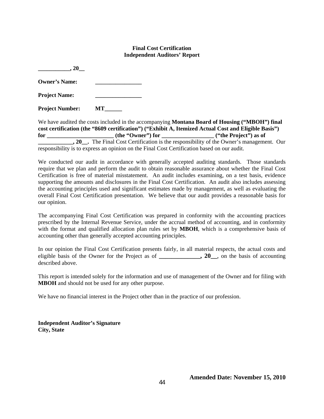#### **Final Cost Certification Independent Auditors' Report**

| .20                    |    |
|------------------------|----|
| <b>Owner's Name:</b>   |    |
| <b>Project Name:</b>   |    |
| <b>Project Number:</b> | МT |

We have audited the costs included in the accompanying **Montana Board of Housing ("MBOH") final cost certification (the "8609 certification") ("Exhibit A, Itemized Actual Cost and Eligible Basis") for \_\_\_\_\_\_\_\_\_\_\_\_\_\_\_\_\_\_\_\_\_\_\_ (the "Owner") for \_\_\_\_\_\_\_\_\_\_\_\_\_\_\_\_\_\_ ("the Project") as of 20\_\_.** The Final Cost Certification is the responsibility of the Owner's management. Our responsibility is to express an opinion on the Final Cost Certification based on our audit.

We conducted our audit in accordance with generally accepted auditing standards. Those standards require that we plan and perform the audit to obtain reasonable assurance about whether the Final Cost Certification is free of material misstatement. An audit includes examining, on a test basis, evidence supporting the amounts and disclosures in the Final Cost Certification. An audit also includes assessing the accounting principles used and significant estimates made by management, as well as evaluating the overall Final Cost Certification presentation. We believe that our audit provides a reasonable basis for our opinion.

The accompanying Final Cost Certification was prepared in conformity with the accounting practices prescribed by the Internal Revenue Service, under the accrual method of accounting, and in conformity with the format and qualified allocation plan rules set by **MBOH**, which is a comprehensive basis of accounting other than generally accepted accounting principles.

In our opinion the Final Cost Certification presents fairly, in all material respects, the actual costs and eligible basis of the Owner for the Project as of **\_\_\_\_\_\_\_\_\_\_\_\_\_, 20\_\_**, on the basis of accounting described above.

This report is intended solely for the information and use of management of the Owner and for filing with **MBOH** and should not be used for any other purpose.

We have no financial interest in the Project other than in the practice of our profession.

**Independent Auditor's Signature City, State**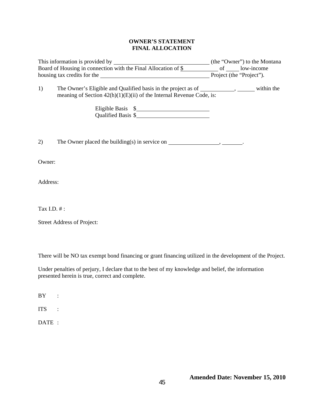#### **OWNER'S STATEMENT FINAL ALLOCATION**

|                | Board of Housing in connection with the Final Allocation of \$ _____________ of _______ low-income                                                                                                                            |  |
|----------------|-------------------------------------------------------------------------------------------------------------------------------------------------------------------------------------------------------------------------------|--|
|                | housing tax credits for the 1992 and 1993 and 1993 and 1993 and 1993 and 1993 and 1993 and 1993 and 1993 and 1993 and 1993 and 1993 and 1993 and 1993 and 1993 and 1993 and 1993 and 1993 and 1993 and 1993 and 1993 and 1993 |  |
| 1)             | The Owner's Eligible and Qualified basis in the project as of _____________, _______ within the<br>meaning of Section $42(h)(1)(E)(ii)$ of the Internal Revenue Code, is:<br>Eligible Basis \$<br>Qualified Basis \$          |  |
| 2)             | The Owner placed the building(s) in service on $\_\_\_\_\_\_\_\_\_\_\_\_\_\_\_\_\_\_\_\_\_\_\_\_\_\_\_\_\_\_\_\_\_$                                                                                                           |  |
| Owner:         |                                                                                                                                                                                                                               |  |
| Address:       |                                                                                                                                                                                                                               |  |
| Tax I.D. $#$ : |                                                                                                                                                                                                                               |  |

Street Address of Project:

There will be NO tax exempt bond financing or grant financing utilized in the development of the Project.

Under penalties of perjury, I declare that to the best of my knowledge and belief, the information presented herein is true, correct and complete.

BY :

ITS :

DATE :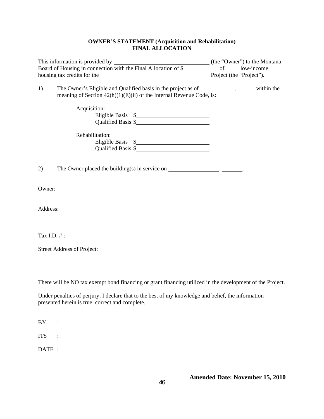#### **OWNER'S STATEMENT (Acquisition and Rehabilitation) FINAL ALLOCATION**

|             | housing tax credits for the 1000 million and the state of the state of the state of the state of the state of the state of the state of the state of the state of the state of the state of the state of the state of the stat | Project (the "Project"). |  |
|-------------|--------------------------------------------------------------------------------------------------------------------------------------------------------------------------------------------------------------------------------|--------------------------|--|
| 1)          | The Owner's Eligible and Qualified basis in the project as of _____________, ________ within the<br>meaning of Section $42(h)(1)(E)(ii)$ of the Internal Revenue Code, is:                                                     |                          |  |
|             | Acquisition:<br>Eligible Basis \$                                                                                                                                                                                              |                          |  |
|             | Rehabilitation:<br>Eligible Basis \$<br>Qualified Basis \$                                                                                                                                                                     |                          |  |
| 2)          |                                                                                                                                                                                                                                |                          |  |
| Owner:      |                                                                                                                                                                                                                                |                          |  |
| Address:    |                                                                                                                                                                                                                                |                          |  |
| Tax I.D. #: |                                                                                                                                                                                                                                |                          |  |
|             | <b>Street Address of Project:</b>                                                                                                                                                                                              |                          |  |

There will be NO tax exempt bond financing or grant financing utilized in the development of the Project.

Under penalties of perjury, I declare that to the best of my knowledge and belief, the information presented herein is true, correct and complete.

BY :

ITS :

DATE :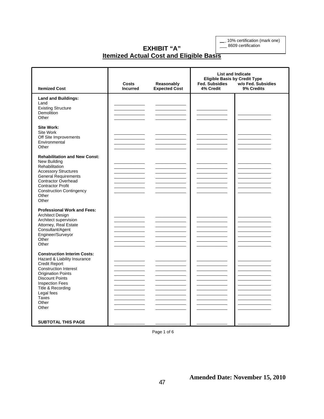\_\_\_ 10% certification (mark one)

\_\_\_ 8609 certification

## **EXHIBIT "A" Itemized Actual Cost and Eligible Basis**

| <b>Itemized Cost</b>                                                                                                                                                                                                                                                      | Costs<br><b>Incurred</b> | Reasonably<br><b>Expected Cost</b> | <b>List and Indicate</b><br><b>Eligible Basis by Credit Type</b><br><b>Fed. Subsidies</b><br>w/o Fed. Subsidies<br>4% Credit<br>9% Credits |  |
|---------------------------------------------------------------------------------------------------------------------------------------------------------------------------------------------------------------------------------------------------------------------------|--------------------------|------------------------------------|--------------------------------------------------------------------------------------------------------------------------------------------|--|
| <b>Land and Buildings:</b><br>Land<br><b>Existing Structure</b><br><b>Demolition</b><br>Other                                                                                                                                                                             |                          |                                    |                                                                                                                                            |  |
| <b>Site Work:</b><br>Site Work<br>Off Site Improvements<br>Environmental<br>Other                                                                                                                                                                                         |                          |                                    |                                                                                                                                            |  |
| <b>Rehabilitation and New Const:</b><br>New Building<br>Rehabilitation<br><b>Accessory Structures</b><br><b>General Requirements</b><br><b>Contractor Overhead</b><br><b>Contractor Profit</b><br><b>Construction Contingency</b><br>Other<br>Other                       |                          |                                    |                                                                                                                                            |  |
| <b>Professional Work and Fees:</b><br><b>Architect Design</b><br>Architect supervision<br>Attorney, Real Estate<br>Consultant/Agent<br>Engineer/Surveyor<br>Other<br>Other                                                                                                |                          |                                    |                                                                                                                                            |  |
| <b>Construction Interim Costs:</b><br>Hazard & Liability Insurance<br>Credit Report<br><b>Construction Interest</b><br><b>Origination Points</b><br><b>Discount Points</b><br><b>Inspection Fees</b><br>Title & Recording<br>Legal fees<br><b>Taxes</b><br>Other<br>Other |                          |                                    |                                                                                                                                            |  |
| <b>SUBTOTAL THIS PAGE</b>                                                                                                                                                                                                                                                 |                          |                                    |                                                                                                                                            |  |

Page 1 of 6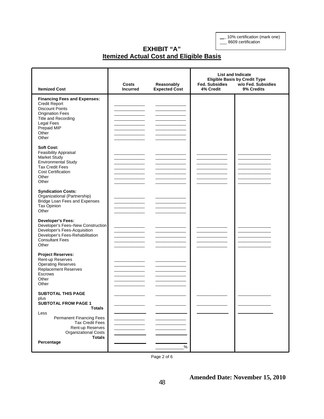\_\_\_ 10% certification (mark one) \_\_\_ 8609 certification

**EXHIBIT "A" Itemized Actual Cost and Eligible Basis**

| <b>Itemized Cost</b>                                                                                                                                                                          | Costs<br><b>Incurred</b>           | Reasonably<br><b>Expected Cost</b> | <b>List and Indicate</b><br><b>Eligible Basis by Credit Type</b><br>w/o Fed. Subsidies<br><b>Fed. Subsidies</b><br>4% Credit<br>9% Credits |  |
|-----------------------------------------------------------------------------------------------------------------------------------------------------------------------------------------------|------------------------------------|------------------------------------|--------------------------------------------------------------------------------------------------------------------------------------------|--|
| <b>Financing Fees and Expenses:</b><br><b>Credit Report</b><br><b>Discount Points</b><br><b>Origination Fees</b><br>Title and Recording<br><b>Legal Fees</b><br>Prepaid MIP<br>Other<br>Other | ______<br>$\overline{\phantom{a}}$ |                                    |                                                                                                                                            |  |
| <b>Soft Cost:</b><br>Feasibility Appraisal<br><b>Market Study</b><br><b>Environmental Study</b><br><b>Tax Credit Fees</b><br><b>Cost Certification</b><br>Other<br>Other                      |                                    |                                    |                                                                                                                                            |  |
| <b>Syndication Costs:</b><br>Organizational (Partnership)<br>Bridge Loan Fees and Expenses<br>Tax Opinion<br>Other                                                                            |                                    |                                    |                                                                                                                                            |  |
| <b>Developer's Fees:</b><br>Developer's Fees-New Construction<br>Developer's Fees-Acquisition<br>Developer's Fees-Rehabilitation<br><b>Consultant Fees</b><br>Other                           | <u> Liberal Communication</u>      |                                    |                                                                                                                                            |  |
| <b>Project Reserves:</b><br>Rent-up Reserves<br><b>Operating Reserves</b><br><b>Replacement Reserves</b><br>Escrows<br>Other<br>Other                                                         |                                    |                                    |                                                                                                                                            |  |
| <b>SUBTOTAL THIS PAGE</b><br>plus<br><b>SUBTOTAL FROM PAGE 1</b><br><b>Totals</b>                                                                                                             |                                    |                                    |                                                                                                                                            |  |
| Less<br><b>Permanent Financing Fees</b><br><b>Tax Credit Fees</b><br>Rent-up Reserves<br><b>Organizational Costs</b><br><b>Totals</b><br>Percentage                                           |                                    | %                                  |                                                                                                                                            |  |

Page 2 of 6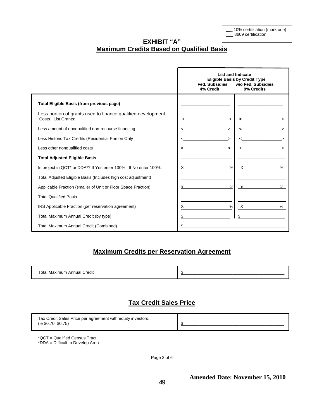\_\_\_ 10% certification (mark one) \_8609 certification

## **EXHIBIT "A" Maximum Credits Based on Qualified Basis**

|                                                                                     | <b>List and Indicate</b><br><b>Eligible Basis by Credit Type</b><br><b>Fed. Subsidies</b><br>w/o Fed. Subsidies<br>9% Credits<br>4% Credit |               |  |  |  |  |  |
|-------------------------------------------------------------------------------------|--------------------------------------------------------------------------------------------------------------------------------------------|---------------|--|--|--|--|--|
| <b>Total Eligible Basis (from previous page)</b>                                    |                                                                                                                                            |               |  |  |  |  |  |
| Less portion of grants used to finance qualified development<br>Costs. List Grants: |                                                                                                                                            |               |  |  |  |  |  |
| Less amount of nonqualified non-recourse financing                                  |                                                                                                                                            |               |  |  |  |  |  |
| Less Historic Tax Credits (Residential Portion Only                                 |                                                                                                                                            |               |  |  |  |  |  |
| Less other nonqualified costs                                                       | $\geq$                                                                                                                                     |               |  |  |  |  |  |
| <b>Total Adjusted Eligible Basis</b>                                                |                                                                                                                                            |               |  |  |  |  |  |
| Is project in QCT* or DDA*? If Yes enter 130%. If No enter 100%.                    | %<br>X.                                                                                                                                    | X<br>%        |  |  |  |  |  |
| Total Adjusted Eligible Basis (Includes high cost adjustment)                       |                                                                                                                                            |               |  |  |  |  |  |
| Applicable Fraction (smaller of Unit or Floor Space Fraction)                       | $\frac{0}{2}$                                                                                                                              | $O_{\alpha}$  |  |  |  |  |  |
| <b>Total Qualified Basis</b>                                                        |                                                                                                                                            |               |  |  |  |  |  |
| IRS Applicable Fraction (per reservation agreement)                                 | X<br>$\%$                                                                                                                                  | $\times$<br>% |  |  |  |  |  |
| Total Maximum Annual Credit (by type)                                               |                                                                                                                                            |               |  |  |  |  |  |
| <b>Total Maximum Annual Credit (Combined)</b>                                       |                                                                                                                                            |               |  |  |  |  |  |

## **Maximum Credits per Reservation Agreement**

| .<br>rean<br>отяг<br><b>IVIE</b><br><br>''''<br>$\cdot$ .<br>. . |  |
|------------------------------------------------------------------|--|
|------------------------------------------------------------------|--|

## **Tax Credit Sales Price**

| Tax Credit Sales Price per agreement with equity investors. |  |
|-------------------------------------------------------------|--|
| (ie \$0.70, \$0.75)                                         |  |
|                                                             |  |

\*QCT = Qualified Census Tract \*DDA = Difficult to Develop Area

Page 3 of 6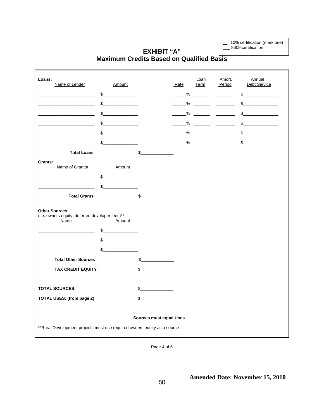\_\_\_ 10% certification (mark one)

\_\_\_ 8609 certification

## **EXHIBIT "A" Maximum Credits Based on Qualified Basis**

| Loans:<br>Name of Lender                                                                                    | Amount        |             | Rate        | Loan<br>Term | Amort.<br>Period                                                                                                       | Annual<br>Debt Service |  |  |  |
|-------------------------------------------------------------------------------------------------------------|---------------|-------------|-------------|--------------|------------------------------------------------------------------------------------------------------------------------|------------------------|--|--|--|
|                                                                                                             | \$            |             | $\sim$ $\%$ |              | <u> Albania de la Carlo de la Carlo de la Carlo de la Carlo de la Carlo de la Carlo de la Carlo de la Carlo de la </u> | $\sim$                 |  |  |  |
|                                                                                                             | \$            |             | %           |              |                                                                                                                        | \$                     |  |  |  |
|                                                                                                             | $\sim$        |             | %           |              |                                                                                                                        | \$                     |  |  |  |
|                                                                                                             | \$_           |             | %           |              |                                                                                                                        | \$                     |  |  |  |
|                                                                                                             | \$            |             | %           |              |                                                                                                                        | \$                     |  |  |  |
|                                                                                                             | \$            |             | %           |              | <u> 1989 - Johann Barnett, francuski politik (</u>                                                                     | $\mathbb{S}$           |  |  |  |
| <b>Total Loans</b>                                                                                          |               | \$          |             |              |                                                                                                                        |                        |  |  |  |
| Grants:                                                                                                     |               |             |             |              |                                                                                                                        |                        |  |  |  |
| Name of Grantor                                                                                             | Amount        |             |             |              |                                                                                                                        |                        |  |  |  |
|                                                                                                             | \$            |             |             |              |                                                                                                                        |                        |  |  |  |
|                                                                                                             | \$            |             |             |              |                                                                                                                        |                        |  |  |  |
| <b>Total Grants</b>                                                                                         |               | \$          |             |              |                                                                                                                        |                        |  |  |  |
| <b>Other Sources:</b><br>(i.e. owners equity, deferred developer fees)**<br>Name                            | Amount        |             |             |              |                                                                                                                        |                        |  |  |  |
|                                                                                                             | \$            |             |             |              |                                                                                                                        |                        |  |  |  |
|                                                                                                             | $\frac{1}{2}$ |             |             |              |                                                                                                                        |                        |  |  |  |
|                                                                                                             | \$            |             |             |              |                                                                                                                        |                        |  |  |  |
| <b>Total Other Sources</b>                                                                                  |               | $\mathbb S$ |             |              |                                                                                                                        |                        |  |  |  |
| <b>TAX CREDIT EQUITY</b>                                                                                    |               | \$_         |             |              |                                                                                                                        |                        |  |  |  |
|                                                                                                             |               |             |             |              |                                                                                                                        |                        |  |  |  |
| <b>TOTAL SOURCES:</b>                                                                                       |               | \$          |             |              |                                                                                                                        |                        |  |  |  |
| <b>TOTAL USES: (from page 2)</b>                                                                            |               | \$          |             |              |                                                                                                                        |                        |  |  |  |
| <b>Sources must equal Uses</b><br>** Rural Development projects must use required owners equity as a source |               |             |             |              |                                                                                                                        |                        |  |  |  |
|                                                                                                             |               |             |             |              |                                                                                                                        |                        |  |  |  |

Page 4 of 6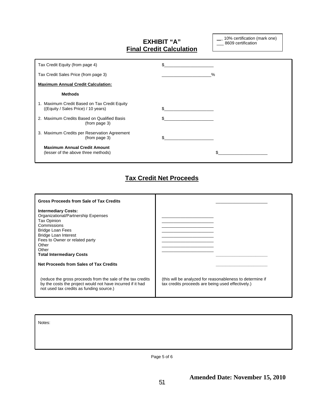## **EXHIBIT "A" Final Credit Calculation**

\_\_\_ 10% certification (mark one)  $\frac{1}{2}$  8609 certification

| Tax Credit Equity (from page 4)                                                     |   |
|-------------------------------------------------------------------------------------|---|
| Tax Credit Sales Price (from page 3)                                                | % |
| <b>Maximum Annual Credit Calculation:</b>                                           |   |
| <b>Methods</b>                                                                      |   |
| 1. Maximum Credit Based on Tax Credit Equity<br>((Equity / Sales Price) / 10 years) |   |
| 2. Maximum Credits Based on Qualified Basis<br>(from page 3)                        |   |
| 3. Maximum Credits per Reservation Agreement<br>(from page 3)                       |   |
| <b>Maximum Annual Credit Amount</b><br>(lesser of the above three methods)          |   |

## **Tax Credit Net Proceeds**

| Gross Proceeds from Sale of Tax Credits                                                                                                                                                                                                          |                                                                                                                |
|--------------------------------------------------------------------------------------------------------------------------------------------------------------------------------------------------------------------------------------------------|----------------------------------------------------------------------------------------------------------------|
| <b>Intermediary Costs:</b><br>Organizational/Partnership Expenses<br>Tax Opinion<br>Commissions<br><b>Bridge Loan Fees</b><br><b>Bridge Loan Interest</b><br>Fees to Owner or related party<br>Other<br>Other<br><b>Total Intermediary Costs</b> |                                                                                                                |
| Net Proceeds from Sales of Tax Credits                                                                                                                                                                                                           |                                                                                                                |
| (reduce the gross proceeds from the sale of the tax credits)<br>by the costs the project would not have incurred if it had<br>not used tax credits as funding source.)                                                                           | (this will be analyzed for reasonableness to determine if<br>tax credits proceeds are being used effectively.) |

Notes:

j

Page 5 of 6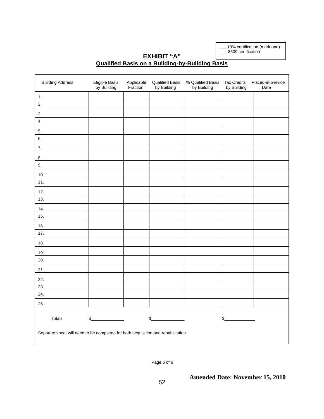\_\_\_ 10% certification (mark one) \_\_\_ 8609 certification

## **EXHIBIT "A" Qualified Basis on a Building-by-Building Basis**

| <b>Building Address</b>                                                           | Eligible Basis<br>by Building | Applicable<br>Fraction | <b>Qualified Basis</b><br>by Building | % Qualified Basis<br>by Building | <b>Tax Credits</b><br>by Building | Placed-in-Service<br>Date |  |  |  |
|-----------------------------------------------------------------------------------|-------------------------------|------------------------|---------------------------------------|----------------------------------|-----------------------------------|---------------------------|--|--|--|
| 1.                                                                                |                               |                        |                                       |                                  |                                   |                           |  |  |  |
| 2.                                                                                |                               |                        |                                       |                                  |                                   |                           |  |  |  |
| 3.                                                                                |                               |                        |                                       |                                  |                                   |                           |  |  |  |
| 4.                                                                                |                               |                        |                                       |                                  |                                   |                           |  |  |  |
| 5.                                                                                |                               |                        |                                       |                                  |                                   |                           |  |  |  |
| 6.                                                                                |                               |                        |                                       |                                  |                                   |                           |  |  |  |
| 7.                                                                                |                               |                        |                                       |                                  |                                   |                           |  |  |  |
| 8.                                                                                |                               |                        |                                       |                                  |                                   |                           |  |  |  |
| 9.                                                                                |                               |                        |                                       |                                  |                                   |                           |  |  |  |
| 10.                                                                               |                               |                        |                                       |                                  |                                   |                           |  |  |  |
| 11.                                                                               |                               |                        |                                       |                                  |                                   |                           |  |  |  |
| 12.                                                                               |                               |                        |                                       |                                  |                                   |                           |  |  |  |
| 13.                                                                               |                               |                        |                                       |                                  |                                   |                           |  |  |  |
| 14.                                                                               |                               |                        |                                       |                                  |                                   |                           |  |  |  |
| 15.                                                                               |                               |                        |                                       |                                  |                                   |                           |  |  |  |
| 16.                                                                               |                               |                        |                                       |                                  |                                   |                           |  |  |  |
| 17.                                                                               |                               |                        |                                       |                                  |                                   |                           |  |  |  |
| 18.                                                                               |                               |                        |                                       |                                  |                                   |                           |  |  |  |
| 19.                                                                               |                               |                        |                                       |                                  |                                   |                           |  |  |  |
| 20.                                                                               |                               |                        |                                       |                                  |                                   |                           |  |  |  |
| 21.                                                                               |                               |                        |                                       |                                  |                                   |                           |  |  |  |
| 22.                                                                               |                               |                        |                                       |                                  |                                   |                           |  |  |  |
| 23.                                                                               |                               |                        |                                       |                                  |                                   |                           |  |  |  |
| 24.                                                                               |                               |                        |                                       |                                  |                                   |                           |  |  |  |
| 25.                                                                               |                               |                        |                                       |                                  |                                   |                           |  |  |  |
| Totals                                                                            | $\delta$                      |                        | \$                                    |                                  | s                                 |                           |  |  |  |
| Separate sheet will need to be completed for both acquisition and rehabilitation. |                               |                        |                                       |                                  |                                   |                           |  |  |  |

Page 6 of 6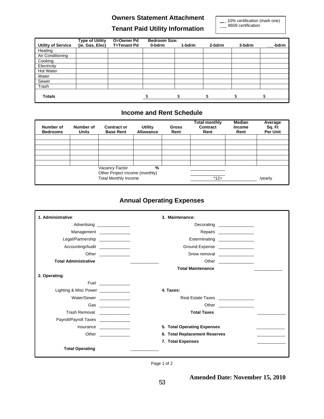### **Owners Statement Attachment**

## **Tenant Paid Utility Information**

\_\_\_ 10% certification (mark one) \_\_\_ 8609 certification

|                           | <b>Type of Utility</b> | O=Owner Pd         | <b>Bedroom Size:</b> |        |               |        |       |
|---------------------------|------------------------|--------------------|----------------------|--------|---------------|--------|-------|
| <b>Utility of Service</b> | (ie. Gas, Elec)        | <b>T=Tenant Pd</b> | 0-bdrm               | 1-bdrm | 2-bdrm        | 3-bdrm | -bdrm |
| Heating                   |                        |                    |                      |        |               |        |       |
| Air Conditioning          |                        |                    |                      |        |               |        |       |
| Cooking                   |                        |                    |                      |        |               |        |       |
| Electricity               |                        |                    |                      |        |               |        |       |
| Hot Water                 |                        |                    |                      |        |               |        |       |
| Water                     |                        |                    |                      |        |               |        |       |
| Sewer                     |                        |                    |                      |        |               |        |       |
| Trash                     |                        |                    |                      |        |               |        |       |
| <b>Totals</b>             |                        |                    |                      | \$     | $\mathbf{\$}$ | \$.    | ፍ     |

### **Income and Rent Schedule**

| Number of<br><b>Bedrooms</b> | Number of<br><b>Units</b> | <b>Contract or</b><br><b>Base Rent</b>           | Utility<br><b>Allowance</b> | <b>Gross</b><br>Rent | <b>Total monthly</b><br>Contract<br>Rent | <b>Median</b><br><b>Income</b><br>Rent | Average<br>Sq. Ft<br>Per Unit |
|------------------------------|---------------------------|--------------------------------------------------|-----------------------------|----------------------|------------------------------------------|----------------------------------------|-------------------------------|
|                              |                           |                                                  |                             |                      |                                          |                                        |                               |
|                              |                           |                                                  |                             |                      |                                          |                                        |                               |
|                              |                           |                                                  |                             |                      |                                          |                                        |                               |
|                              |                           |                                                  |                             |                      |                                          |                                        |                               |
|                              |                           |                                                  |                             |                      |                                          |                                        |                               |
|                              |                           |                                                  |                             |                      |                                          |                                        |                               |
|                              |                           | Vacancy Factor<br>Other Project Income (monthly) | %                           |                      |                                          |                                        |                               |
|                              |                           | <b>Total Monthly Income</b>                      |                             |                      | $*12=$                                   |                                        | /yearly                       |

## **Annual Operating Expenses**

| 1. Administrative:                | 3. Maintenance:                                                                                                                                                                                                                                                 |
|-----------------------------------|-----------------------------------------------------------------------------------------------------------------------------------------------------------------------------------------------------------------------------------------------------------------|
|                                   | Advertising _______________<br>Decorating ________________                                                                                                                                                                                                      |
|                                   | Repairs _________________<br>Management _____________                                                                                                                                                                                                           |
| Legal/Partnership                 | Exterminating ________________                                                                                                                                                                                                                                  |
| Accounting/Audit                  | Ground Expense _______________                                                                                                                                                                                                                                  |
|                                   | Other ______________<br>Snow removal ______________                                                                                                                                                                                                             |
| <b>Total Administrative</b>       |                                                                                                                                                                                                                                                                 |
|                                   | <b>Total Maintenance</b>                                                                                                                                                                                                                                        |
| 2. Operating:                     |                                                                                                                                                                                                                                                                 |
|                                   | Fuel ______________                                                                                                                                                                                                                                             |
| Lighting & Misc Power ___________ | 4. Taxes:                                                                                                                                                                                                                                                       |
|                                   | Water/Sewer ______________<br>Real Estate Taxes ________________                                                                                                                                                                                                |
|                                   | Gas _____________                                                                                                                                                                                                                                               |
| Trash Removal _____________       | <b>Total Taxes</b>                                                                                                                                                                                                                                              |
| Payroll/Payroll Taxes             |                                                                                                                                                                                                                                                                 |
|                                   | 5. Total Operating Expenses<br>Insurance                                                                                                                                                                                                                        |
|                                   | 6. Total Replacement Reserves<br>Other the contract of the contract of the contract of the contract of the contract of the contract of the contract of the contract of the contract of the contract of the contract of the contract of the contract of the cont |
|                                   | 7. Total Expenses                                                                                                                                                                                                                                               |
| <b>Total Operating</b>            |                                                                                                                                                                                                                                                                 |

Page 1 of 2